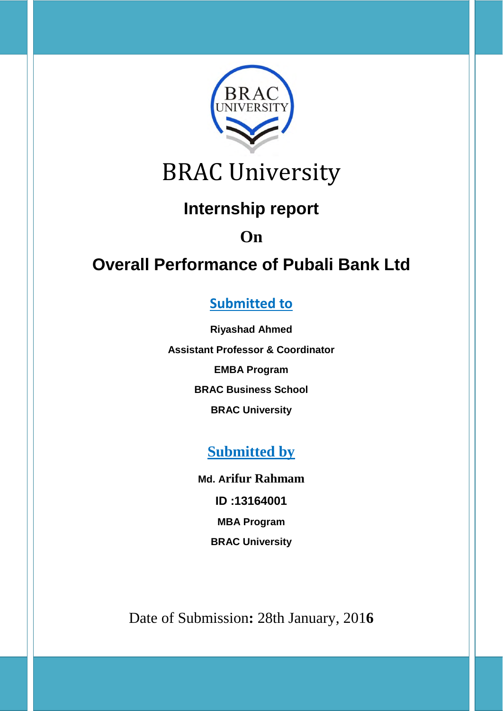

## BRAC University

### **Internship report**

## **On**

## **Overall Performance of Pubali Bank Ltd**

### **Submitted to**

**Riyashad Ahmed Assistant Professor & Coordinator EMBA Program BRAC Business School BRAC University**

### **Submitted by**

**Md. Arifur Rahmam ID :13164001 MBA Program BRAC University**

Date of Submission**:** 28th January, 201**6**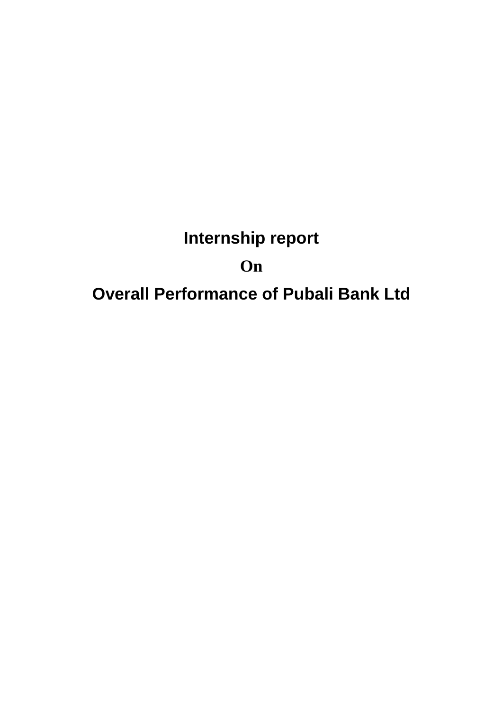## **Internship report On Overall Performance of Pubali Bank Ltd**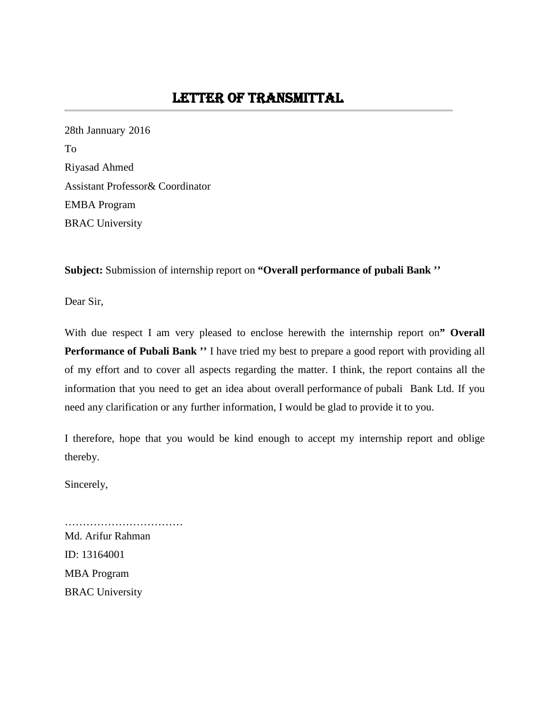28th Jannuary 2016 To Riyasad Ahmed Assistant Professor& Coordinator EMBA Program BRAC University

**Subject:** Submission of internship report on **"Overall performance of pubali Bank ''**

Dear Sir,

With due respect I am very pleased to enclose herewith the internship report on**" Overall Performance of Pubali Bank ''** I have tried my best to prepare a good report with providing all of my effort and to cover all aspects regarding the matter. I think, the report contains all the information that you need to get an idea about overall performance of pubali Bank Ltd. If you need any clarification or any further information, I would be glad to provide it to you.

I therefore, hope that you would be kind enough to accept my internship report and oblige thereby.

Sincerely,

Md. Arifur Rahman ID: 13164001 MBA Program BRAC University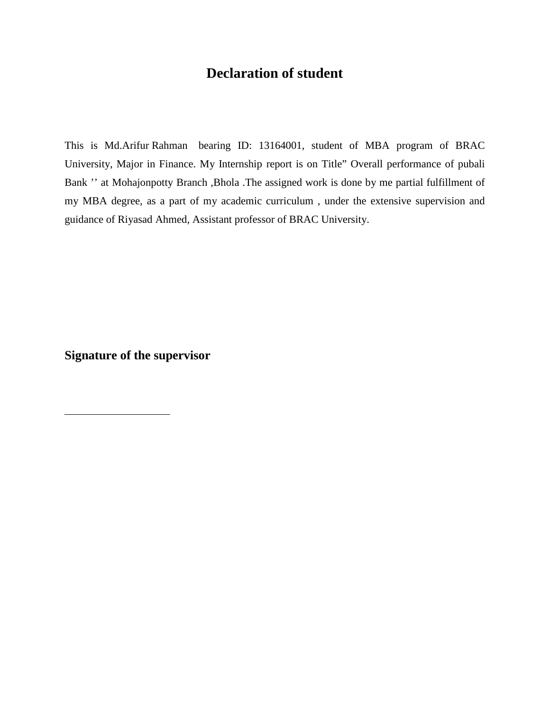#### **Declaration of student**

This is Md.Arifur Rahman bearing ID: 13164001, student of MBA program of BRAC University, Major in Finance. My Internship report is on Title" Overall performance of pubali Bank '' at Mohajonpotty Branch ,Bhola .The assigned work is done by me partial fulfillment of my MBA degree, as a part of my academic curriculum , under the extensive supervision and guidance of Riyasad Ahmed, Assistant professor of BRAC University.

**Signature of the supervisor**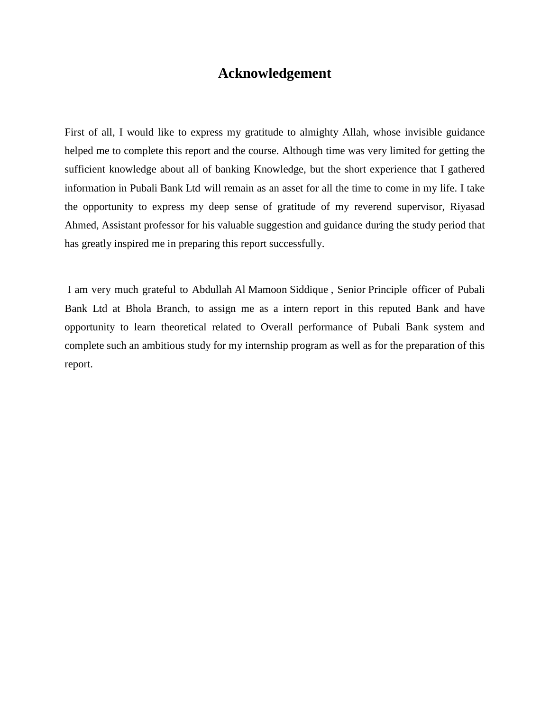#### **Acknowledgement**

First of all, I would like to express my gratitude to almighty Allah, whose invisible guidance helped me to complete this report and the course. Although time was very limited for getting the sufficient knowledge about all of banking Knowledge, but the short experience that I gathered information in Pubali Bank Ltd will remain as an asset for all the time to come in my life. I take the opportunity to express my deep sense of gratitude of my reverend supervisor, Riyasad Ahmed, Assistant professor for his valuable suggestion and guidance during the study period that has greatly inspired me in preparing this report successfully.

I am very much grateful to Abdullah Al Mamoon Siddique , Senior Principle officer of Pubali Bank Ltd at Bhola Branch, to assign me as a intern report in this reputed Bank and have opportunity to learn theoretical related to Overall performance of Pubali Bank system and complete such an ambitious study for my internship program as well as for the preparation of this report.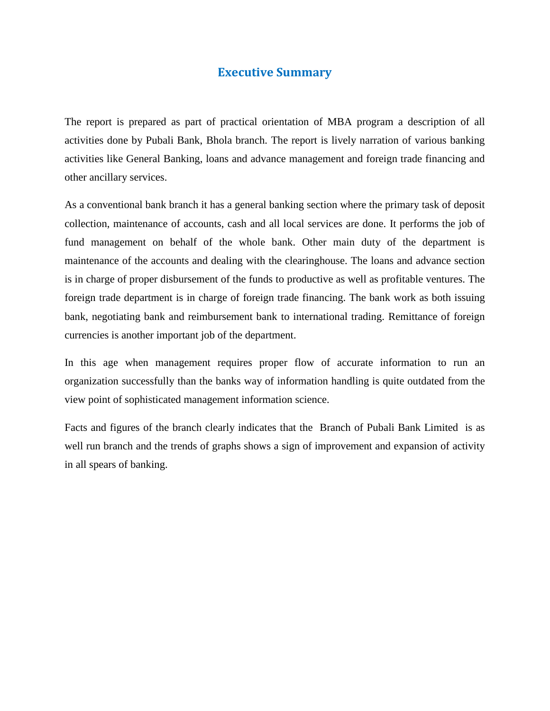#### **Executive Summary**

The report is prepared as part of practical orientation of MBA program a description of all activities done by Pubali Bank, Bhola branch. The report is lively narration of various banking activities like General Banking, loans and advance management and foreign trade financing and other ancillary services.

As a conventional bank branch it has a general banking section where the primary task of deposit collection, maintenance of accounts, cash and all local services are done. It performs the job of fund management on behalf of the whole bank. Other main duty of the department is maintenance of the accounts and dealing with the clearinghouse. The loans and advance section is in charge of proper disbursement of the funds to productive as well as profitable ventures. The foreign trade department is in charge of foreign trade financing. The bank work as both issuing bank, negotiating bank and reimbursement bank to international trading. Remittance of foreign currencies is another important job of the department.

In this age when management requires proper flow of accurate information to run an organization successfully than the banks way of information handling is quite outdated from the view point of sophisticated management information science.

Facts and figures of the branch clearly indicates that the Branch of Pubali Bank Limited is as well run branch and the trends of graphs shows a sign of improvement and expansion of activity in all spears of banking.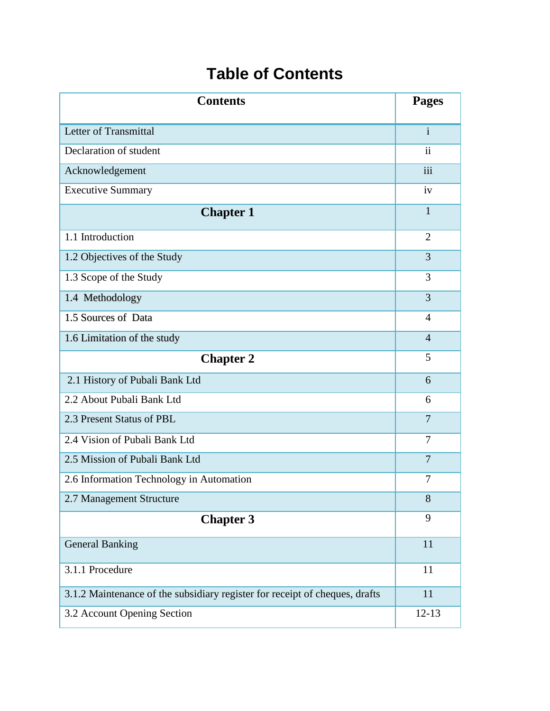## **Table of Contents**

| <b>Contents</b>                                                             | <b>Pages</b>            |
|-----------------------------------------------------------------------------|-------------------------|
| Letter of Transmittal                                                       | $\mathbf{i}$            |
| Declaration of student                                                      | $\overline{\mathbf{u}}$ |
| Acknowledgement                                                             | iii                     |
| <b>Executive Summary</b>                                                    | iv                      |
| <b>Chapter 1</b>                                                            | $\mathbf{1}$            |
| 1.1 Introduction                                                            | $\overline{2}$          |
| 1.2 Objectives of the Study                                                 | 3                       |
| 1.3 Scope of the Study                                                      | 3                       |
| 1.4 Methodology                                                             | 3                       |
| 1.5 Sources of Data                                                         | 4                       |
| 1.6 Limitation of the study                                                 | $\overline{4}$          |
| <b>Chapter 2</b>                                                            | 5                       |
| 2.1 History of Pubali Bank Ltd                                              | 6                       |
| 2.2 About Pubali Bank Ltd                                                   | 6                       |
| 2.3 Present Status of PBL                                                   | $\overline{7}$          |
| 2.4 Vision of Pubali Bank Ltd                                               | 7                       |
| 2.5 Mission of Pubali Bank Ltd                                              | 7                       |
| 2.6 Information Technology in Automation                                    | 7                       |
| 2.7 Management Structure                                                    | 8                       |
| <b>Chapter 3</b>                                                            | 9                       |
| <b>General Banking</b>                                                      | 11                      |
| 3.1.1 Procedure                                                             | 11                      |
| 3.1.2 Maintenance of the subsidiary register for receipt of cheques, drafts | 11                      |
| 3.2 Account Opening Section                                                 | $12 - 13$               |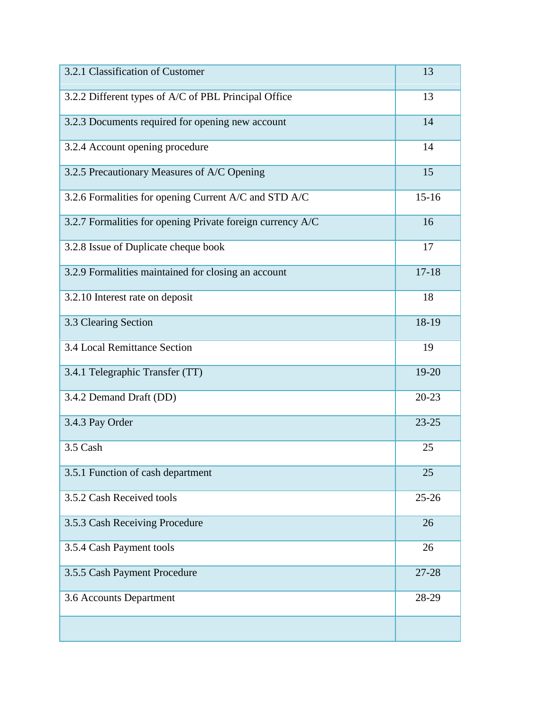| 3.2.1 Classification of Customer                           | 13        |
|------------------------------------------------------------|-----------|
| 3.2.2 Different types of A/C of PBL Principal Office       | 13        |
| 3.2.3 Documents required for opening new account           | 14        |
| 3.2.4 Account opening procedure                            | 14        |
| 3.2.5 Precautionary Measures of A/C Opening                | 15        |
| 3.2.6 Formalities for opening Current A/C and STD A/C      | $15 - 16$ |
| 3.2.7 Formalities for opening Private foreign currency A/C | 16        |
| 3.2.8 Issue of Duplicate cheque book                       | 17        |
| 3.2.9 Formalities maintained for closing an account        | $17 - 18$ |
| 3.2.10 Interest rate on deposit                            | 18        |
| 3.3 Clearing Section                                       | 18-19     |
| 3.4 Local Remittance Section                               | 19        |
| 3.4.1 Telegraphic Transfer (TT)                            | 19-20     |
| 3.4.2 Demand Draft (DD)                                    | $20 - 23$ |
| 3.4.3 Pay Order                                            | $23 - 25$ |
| 3.5 Cash                                                   | 25        |
| 3.5.1 Function of cash department                          | 25        |
| 3.5.2 Cash Received tools                                  | $25 - 26$ |
| 3.5.3 Cash Receiving Procedure                             | 26        |
| 3.5.4 Cash Payment tools                                   | 26        |
| 3.5.5 Cash Payment Procedure                               | 27-28     |
| 3.6 Accounts Department                                    | 28-29     |
|                                                            |           |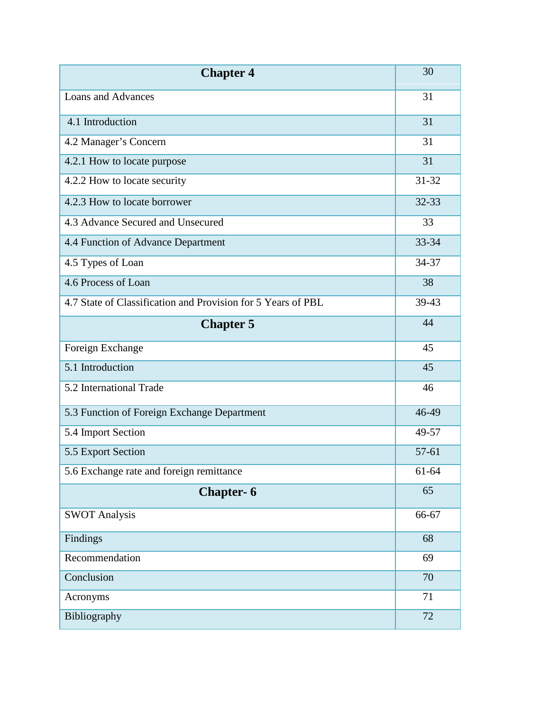| <b>Chapter 4</b>                                             | 30        |
|--------------------------------------------------------------|-----------|
| Loans and Advances                                           | 31        |
| 4.1 Introduction                                             | 31        |
| 4.2 Manager's Concern                                        | 31        |
| 4.2.1 How to locate purpose                                  | 31        |
| 4.2.2 How to locate security                                 | $31 - 32$ |
| 4.2.3 How to locate borrower                                 | 32-33     |
| 4.3 Advance Secured and Unsecured                            | 33        |
| 4.4 Function of Advance Department                           | 33-34     |
| 4.5 Types of Loan                                            | 34-37     |
| 4.6 Process of Loan                                          | 38        |
| 4.7 State of Classification and Provision for 5 Years of PBL | 39-43     |
| <b>Chapter 5</b>                                             | 44        |
| Foreign Exchange                                             | 45        |
| 5.1 Introduction                                             | 45        |
| 5.2 International Trade                                      | 46        |
| 5.3 Function of Foreign Exchange Department                  | 46-49     |
| 5.4 Import Section                                           | 49-57     |
| 5.5 Export Section                                           | 57-61     |
| 5.6 Exchange rate and foreign remittance                     | 61-64     |
| <b>Chapter-6</b>                                             | 65        |
| <b>SWOT Analysis</b>                                         | 66-67     |
| Findings                                                     | 68        |
| Recommendation                                               | 69        |
| Conclusion                                                   | 70        |
| Acronyms                                                     | 71        |
| Bibliography                                                 | 72        |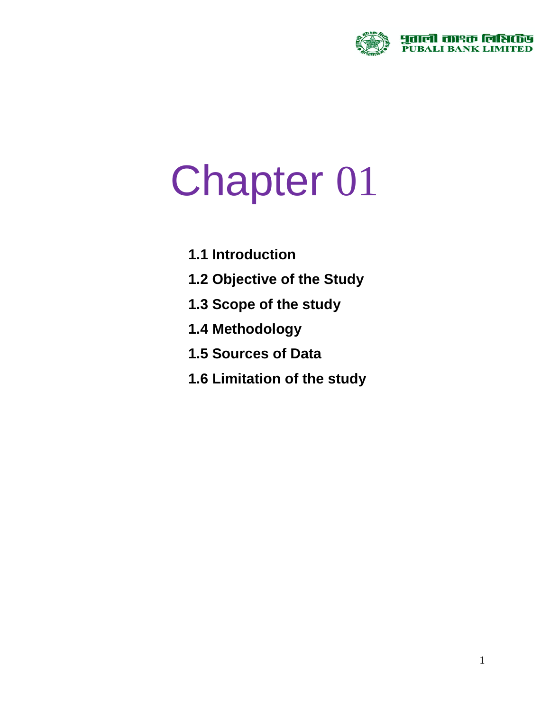

## Chapter 01

- **1.1 Introduction**
- **1.2 Objective of the Study**
- **1.3 Scope of the study**
- **1.4 Methodology**
- **1.5 Sources of Data**
- **1.6 Limitation of the study**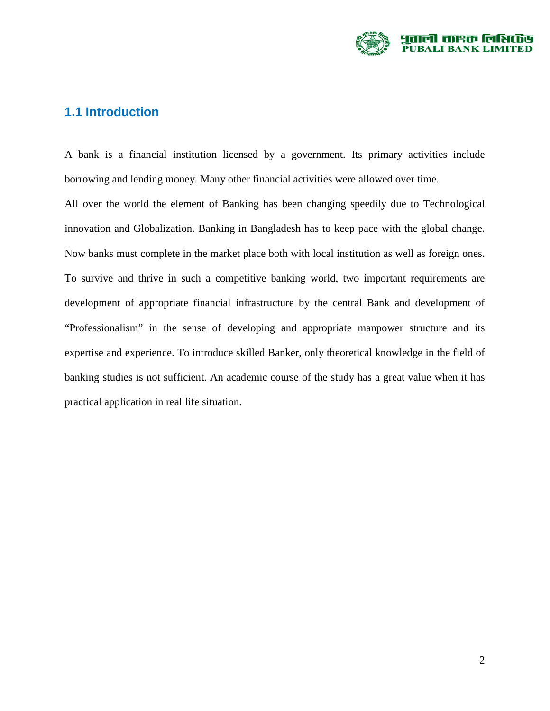

#### **1.1 Introduction**

A bank is a financial institution licensed by a government. Its primary activities include borrowing and lending money. Many other financial activities were allowed over time.

All over the world the element of Banking has been changing speedily due to Technological innovation and Globalization. Banking in Bangladesh has to keep pace with the global change. Now banks must complete in the market place both with local institution as well as foreign ones. To survive and thrive in such a competitive banking world, two important requirements are development of appropriate financial infrastructure by the central Bank and development of "Professionalism" in the sense of developing and appropriate manpower structure and its expertise and experience. To introduce skilled Banker, only theoretical knowledge in the field of banking studies is not sufficient. An academic course of the study has a great value when it has practical application in real life situation.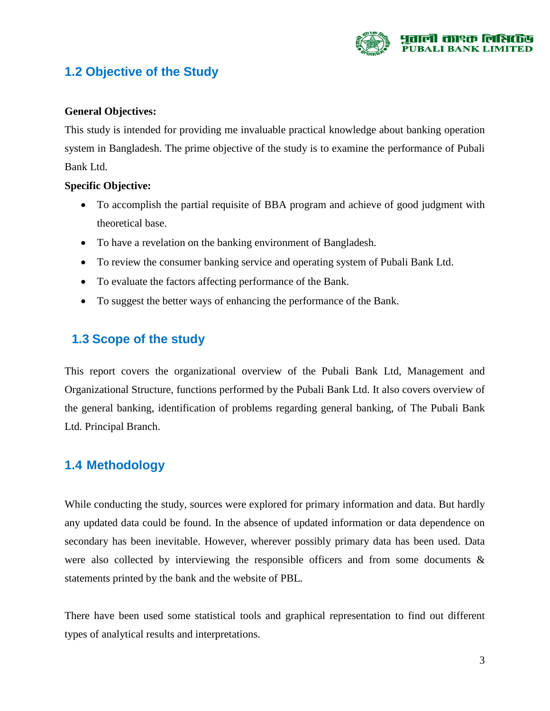

#### **1.2 Objective of the Study**

#### **General Objectives:**

This study is intended for providing me invaluable practical knowledge about banking operation system in Bangladesh. The prime objective of the study is to examine the performance of Pubali Bank Ltd.

#### **Specific Objective:**

- To accomplish the partial requisite of BBA program and achieve of good judgment with theoretical base.
- To have a revelation on the banking environment of Bangladesh.
- To review the consumer banking service and operating system of Pubali Bank Ltd.
- To evaluate the factors affecting performance of the Bank.
- To suggest the better ways of enhancing the performance of the Bank.

#### **1.3 Scope of the study**

This report covers the organizational overview of the Pubali Bank Ltd, Management and Organizational Structure, functions performed by the Pubali Bank Ltd. It also covers overview of the general banking, identification of problems regarding general banking, of The Pubali Bank Ltd. Principal Branch.

#### **1.4 Methodology**

While conducting the study, sources were explored for primary information and data. But hardly any updated data could be found. In the absence of updated information or data dependence on secondary has been inevitable. However, wherever possibly primary data has been used. Data were also collected by interviewing the responsible officers and from some documents  $\&$ statements printed by the bank and the website of PBL.

There have been used some statistical tools and graphical representation to find out different types of analytical results and interpretations.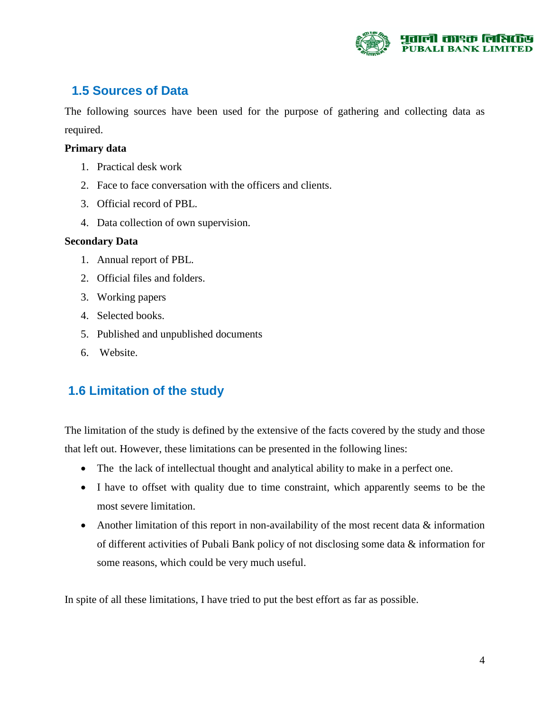

#### **1.5 Sources of Data**

The following sources have been used for the purpose of gathering and collecting data as required.

#### **Primary data**

- 1. Practical desk work
- 2. Face to face conversation with the officers and clients.
- 3. Official record of PBL.
- 4. Data collection of own supervision.

#### **Secondary Data**

- 1. Annual report of PBL.
- 2. Official files and folders.
- 3. Working papers
- 4. Selected books.
- 5. Published and unpublished documents
- 6. Website.

#### **1.6 Limitation of the study**

The limitation of the study is defined by the extensive of the facts covered by the study and those that left out. However, these limitations can be presented in the following lines:

- The the lack of intellectual thought and analytical ability to make in a perfect one.
- I have to offset with quality due to time constraint, which apparently seems to be the most severe limitation.
- Another limitation of this report in non-availability of the most recent data & information of different activities of Pubali Bank policy of not disclosing some data & information for some reasons, which could be very much useful.

In spite of all these limitations, I have tried to put the best effort as far as possible.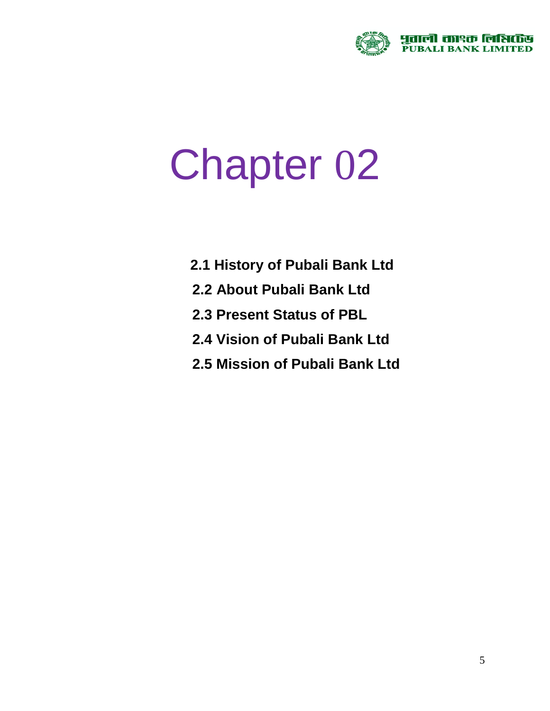

# Chapter 02

- **2.1 History of Pubali Bank Ltd**
- **2.2 About Pubali Bank Ltd**
- **2.3 Present Status of PBL**
- **2.4 Vision of Pubali Bank Ltd**
- **2.5 Mission of Pubali Bank Ltd**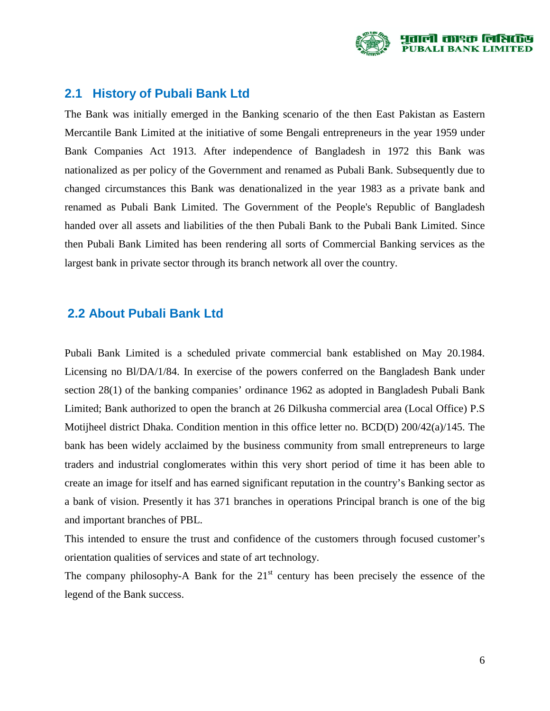

#### **2.1 History of Pubali Bank Ltd**

The Bank was initially emerged in the Banking scenario of the then East Pakistan as Eastern Mercantile Bank Limited at the initiative of some Bengali entrepreneurs in the year 1959 under Bank Companies Act 1913. After independence of Bangladesh in 1972 this Bank was nationalized as per policy of the Government and renamed as Pubali Bank. Subsequently due to changed circumstances this Bank was denationalized in the year 1983 as a private bank and renamed as Pubali Bank Limited. The Government of the People's Republic of Bangladesh handed over all assets and liabilities of the then Pubali Bank to the Pubali Bank Limited. Since then Pubali Bank Limited has been rendering all sorts of Commercial Banking services as the largest bank in private sector through its branch network all over the country.

#### **2.2 About Pubali Bank Ltd**

Pubali Bank Limited is a scheduled private commercial bank established on May 20.1984. Licensing no Bl/DA/1/84. In exercise of the powers conferred on the Bangladesh Bank under section 28(1) of the banking companies' ordinance 1962 as adopted in Bangladesh Pubali Bank Limited; Bank authorized to open the branch at 26 Dilkusha commercial area (Local Office) P.S Motijheel district Dhaka. Condition mention in this office letter no. BCD(D) 200/42(a)/145. The bank has been widely acclaimed by the business community from small entrepreneurs to large traders and industrial conglomerates within this very short period of time it has been able to create an image for itself and has earned significant reputation in the country's Banking sector as a bank of vision. Presently it has 371 branches in operations Principal branch is one of the big and important branches of PBL.

This intended to ensure the trust and confidence of the customers through focused customer's orientation qualities of services and state of art technology.

The company philosophy-A Bank for the  $21<sup>st</sup>$  century has been precisely the essence of the legend of the Bank success.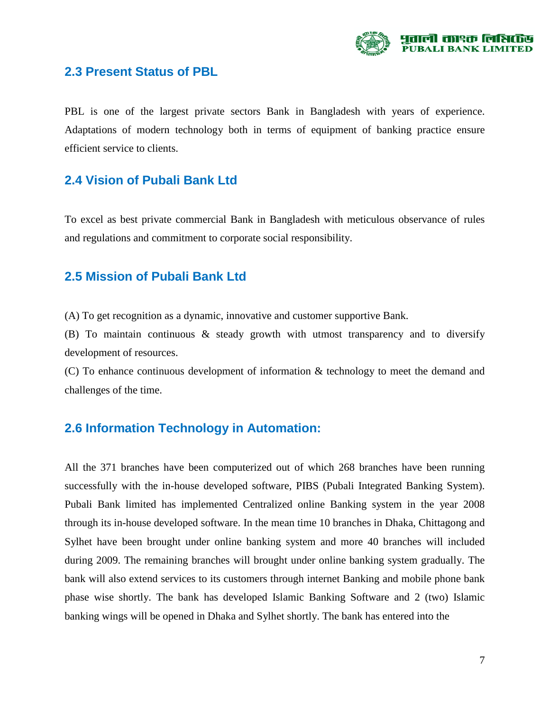

#### **2.3 Present Status of PBL**

PBL is one of the largest private sectors Bank in Bangladesh with years of experience. Adaptations of modern technology both in terms of equipment of banking practice ensure efficient service to clients.

#### **2.4 Vision of Pubali Bank Ltd**

To excel as best private commercial Bank in Bangladesh with meticulous observance of rules and regulations and commitment to corporate social responsibility.

#### **2.5 Mission of Pubali Bank Ltd**

(A) To get recognition as a dynamic, innovative and customer supportive Bank.

(B) To maintain continuous & steady growth with utmost transparency and to diversify development of resources.

(C) To enhance continuous development of information & technology to meet the demand and challenges of the time.

#### **2.6 Information Technology in Automation:**

All the 371 branches have been computerized out of which 268 branches have been running successfully with the in-house developed software, PIBS (Pubali Integrated Banking System). Pubali Bank limited has implemented Centralized online Banking system in the year 2008 through its in-house developed software. In the mean time 10 branches in Dhaka, Chittagong and Sylhet have been brought under online banking system and more 40 branches will included during 2009. The remaining branches will brought under online banking system gradually. The bank will also extend services to its customers through internet Banking and mobile phone bank phase wise shortly. The bank has developed Islamic Banking Software and 2 (two) Islamic banking wings will be opened in Dhaka and Sylhet shortly. The bank has entered into the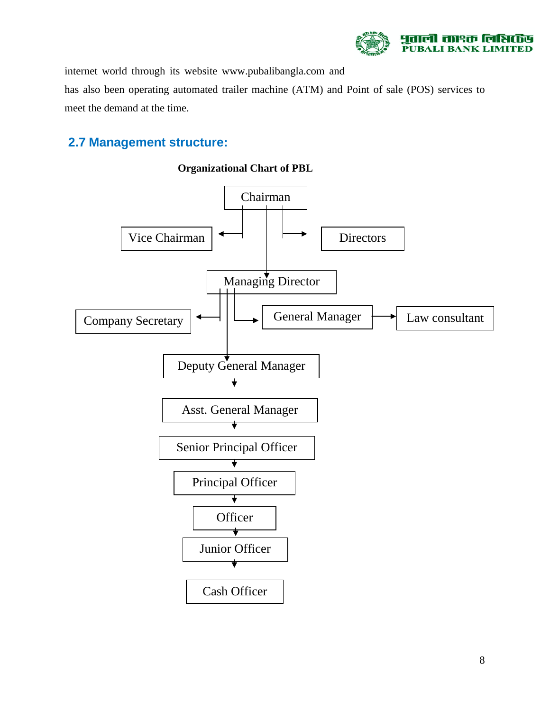

internet world through its website [www.pubalibangla.com](http://www.pubalibangla.com/) and has also been operating automated trailer machine (ATM) and Point of sale (POS) services to meet the demand at the time.

#### **2.7 Management structure:**



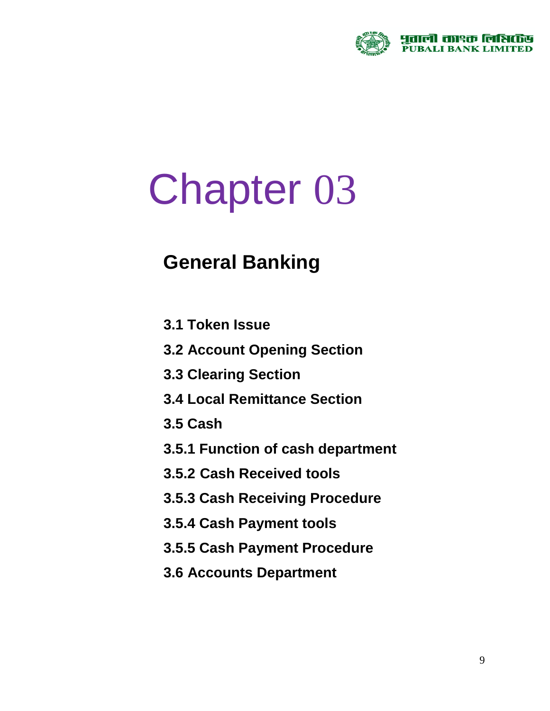

# Chapter 03

## **General Banking**

- **3.1 Token Issue**
- **3.2 Account Opening Section**
- **3.3 Clearing Section**
- **3.4 Local Remittance Section**
- **3.5 Cash**
- **3.5.1 Function of cash department**
- **3.5.2 Cash Received tools**
- **3.5.3 Cash Receiving Procedure**
- **3.5.4 Cash Payment tools**
- **3.5.5 Cash Payment Procedure**
- **3.6 Accounts Department**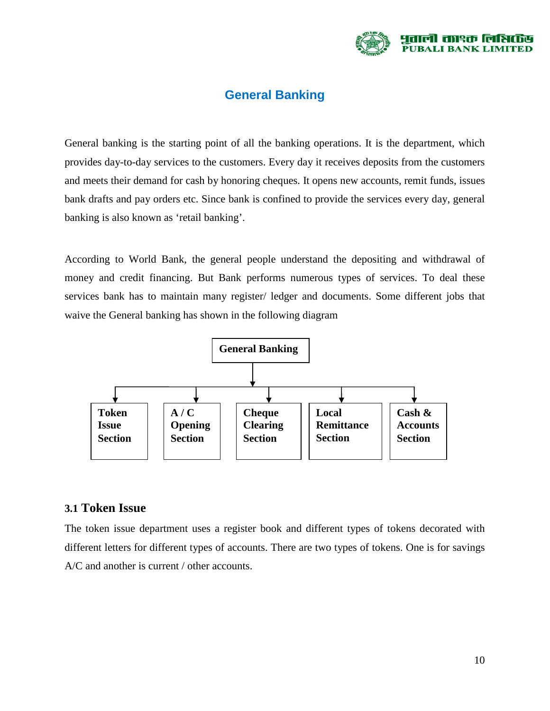

#### **General Banking**

General banking is the starting point of all the banking operations. It is the department, which provides day-to-day services to the customers. Every day it receives deposits from the customers and meets their demand for cash by honoring cheques. It opens new accounts, remit funds, issues bank drafts and pay orders etc. Since bank is confined to provide the services every day, general banking is also known as 'retail banking'.

According to World Bank, the general people understand the depositing and withdrawal of money and credit financing. But Bank performs numerous types of services. To deal these services bank has to maintain many register/ ledger and documents. Some different jobs that waive the General banking has shown in the following diagram



#### **3.1 Token Issue**

The token issue department uses a register book and different types of tokens decorated with different letters for different types of accounts. There are two types of tokens. One is for savings A/C and another is current / other accounts.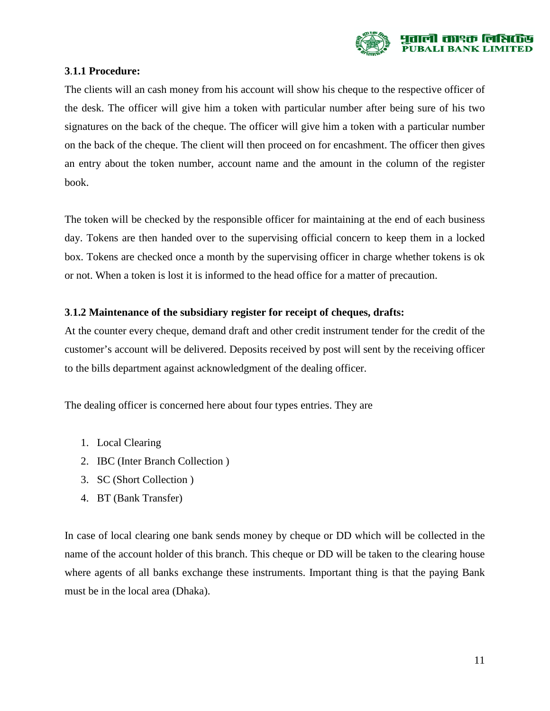

#### **3**.**1.1 Procedure:**

The clients will an cash money from his account will show his cheque to the respective officer of the desk. The officer will give him a token with particular number after being sure of his two signatures on the back of the cheque. The officer will give him a token with a particular number on the back of the cheque. The client will then proceed on for encashment. The officer then gives an entry about the token number, account name and the amount in the column of the register book.

The token will be checked by the responsible officer for maintaining at the end of each business day. Tokens are then handed over to the supervising official concern to keep them in a locked box. Tokens are checked once a month by the supervising officer in charge whether tokens is ok or not. When a token is lost it is informed to the head office for a matter of precaution.

#### **3**.**1.2 Maintenance of the subsidiary register for receipt of cheques, drafts:**

At the counter every cheque, demand draft and other credit instrument tender for the credit of the customer's account will be delivered. Deposits received by post will sent by the receiving officer to the bills department against acknowledgment of the dealing officer.

The dealing officer is concerned here about four types entries. They are

- 1. Local Clearing
- 2. IBC (Inter Branch Collection )
- 3. SC (Short Collection )
- 4. BT (Bank Transfer)

In case of local clearing one bank sends money by cheque or DD which will be collected in the name of the account holder of this branch. This cheque or DD will be taken to the clearing house where agents of all banks exchange these instruments. Important thing is that the paying Bank must be in the local area (Dhaka).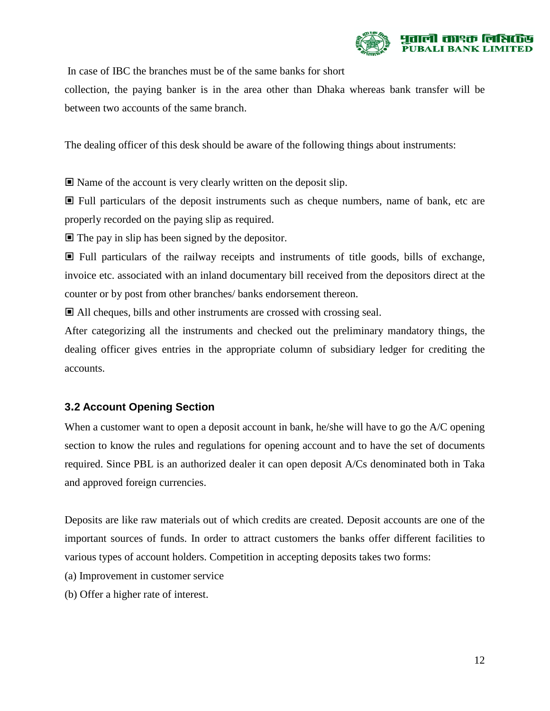

In case of IBC the branches must be of the same banks for short

collection, the paying banker is in the area other than Dhaka whereas bank transfer will be between two accounts of the same branch.

The dealing officer of this desk should be aware of the following things about instruments:

Name of the account is very clearly written on the deposit slip.

 Full particulars of the deposit instruments such as cheque numbers, name of bank, etc are properly recorded on the paying slip as required.

 $\blacksquare$  The pay in slip has been signed by the depositor.

 $\Box$  Full particulars of the railway receipts and instruments of title goods, bills of exchange, invoice etc. associated with an inland documentary bill received from the depositors direct at the counter or by post from other branches/ banks endorsement thereon.

All cheques, bills and other instruments are crossed with crossing seal.

After categorizing all the instruments and checked out the preliminary mandatory things, the dealing officer gives entries in the appropriate column of subsidiary ledger for crediting the accounts.

#### **3.2 Account Opening Section**

When a customer want to open a deposit account in bank, he/she will have to go the A/C opening section to know the rules and regulations for opening account and to have the set of documents required. Since PBL is an authorized dealer it can open deposit A/Cs denominated both in Taka and approved foreign currencies.

Deposits are like raw materials out of which credits are created. Deposit accounts are one of the important sources of funds. In order to attract customers the banks offer different facilities to various types of account holders. Competition in accepting deposits takes two forms:

- (a) Improvement in customer service
- (b) Offer a higher rate of interest.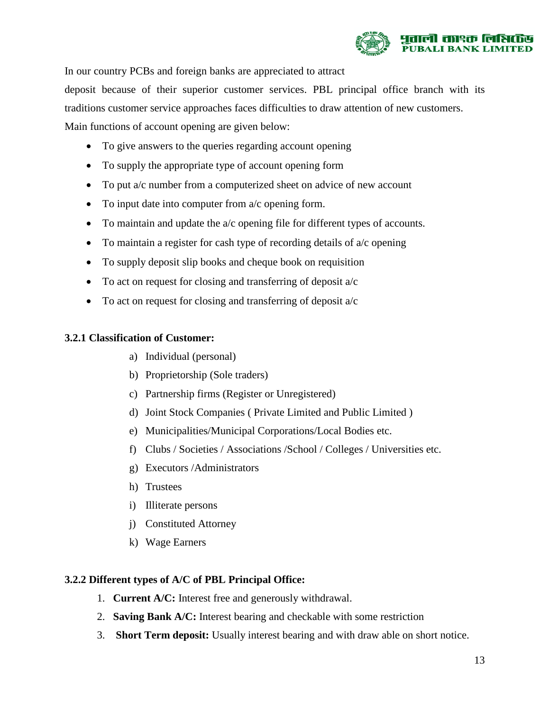

In our country PCBs and foreign banks are appreciated to attract

deposit because of their superior customer services. PBL principal office branch with its

traditions customer service approaches faces difficulties to draw attention of new customers.

Main functions of account opening are given below:

- To give answers to the queries regarding account opening
- To supply the appropriate type of account opening form
- To put a/c number from a computerized sheet on advice of new account
- To input date into computer from a/c opening form.
- To maintain and update the a/c opening file for different types of accounts.
- To maintain a register for cash type of recording details of  $a/c$  opening
- To supply deposit slip books and cheque book on requisition
- To act on request for closing and transferring of deposit a/c
- To act on request for closing and transferring of deposit a/c

#### **3.2.1 Classification of Customer:**

- a) Individual (personal)
- b) Proprietorship (Sole traders)
- c) Partnership firms (Register or Unregistered)
- d) Joint Stock Companies ( Private Limited and Public Limited )
- e) Municipalities/Municipal Corporations/Local Bodies etc.
- f) Clubs / Societies / Associations /School / Colleges / Universities etc.
- g) Executors /Administrators
- h) Trustees
- i) Illiterate persons
- j) Constituted Attorney
- k) Wage Earners

#### **3.2.2 Different types of A/C of PBL Principal Office:**

- 1. **Current A/C:** Interest free and generously withdrawal.
- 2. **Saving Bank A/C:** Interest bearing and checkable with some restriction
- 3. **Short Term deposit:** Usually interest bearing and with draw able on short notice.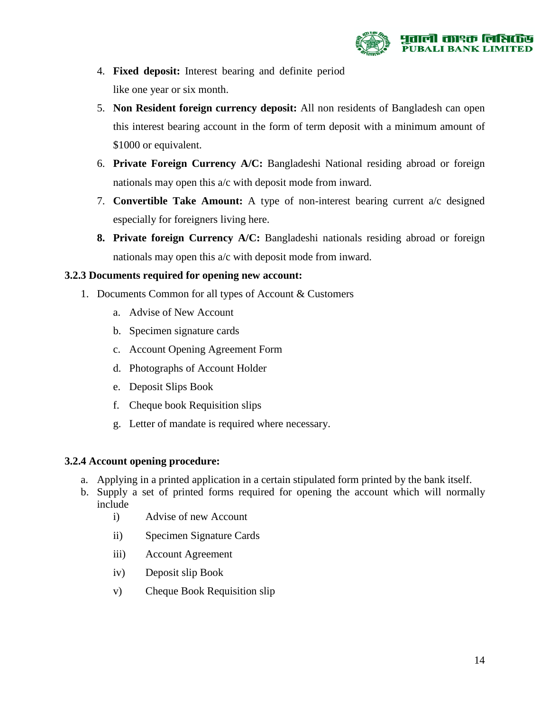

- 4. **Fixed deposit:** Interest bearing and definite period like one year or six month.
- 5. **Non Resident foreign currency deposit:** All non residents of Bangladesh can open this interest bearing account in the form of term deposit with a minimum amount of \$1000 or equivalent.
- 6. **Private Foreign Currency A/C:** Bangladeshi National residing abroad or foreign nationals may open this a/c with deposit mode from inward.
- 7. **Convertible Take Amount:** A type of non-interest bearing current a/c designed especially for foreigners living here.
- **8. Private foreign Currency A/C:** Bangladeshi nationals residing abroad or foreign nationals may open this a/c with deposit mode from inward.

#### **3.2.3 Documents required for opening new account:**

- 1. Documents Common for all types of Account & Customers
	- a. Advise of New Account
	- b. Specimen signature cards
	- c. Account Opening Agreement Form
	- d. Photographs of Account Holder
	- e. Deposit Slips Book
	- f. Cheque book Requisition slips
	- g. Letter of mandate is required where necessary.

#### **3.2.4 Account opening procedure:**

- a. Applying in a printed application in a certain stipulated form printed by the bank itself.
- b. Supply a set of printed forms required for opening the account which will normally include
	- i) Advise of new Account
	- ii) Specimen Signature Cards
	- iii) Account Agreement
	- iv) Deposit slip Book
	- v) Cheque Book Requisition slip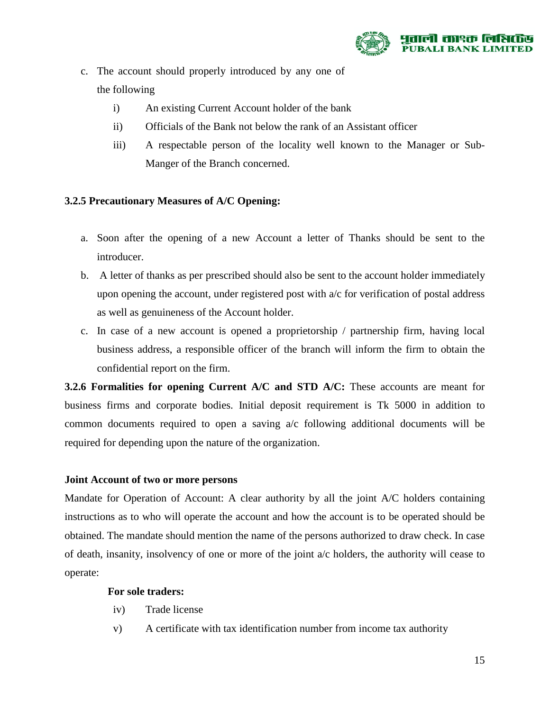

- c. The account should properly introduced by any one of the following
	- i) An existing Current Account holder of the bank
	- ii) Officials of the Bank not below the rank of an Assistant officer
	- iii) A respectable person of the locality well known to the Manager or Sub-Manger of the Branch concerned.

#### **3.2.5 Precautionary Measures of A/C Opening:**

- a. Soon after the opening of a new Account a letter of Thanks should be sent to the introducer.
- b. A letter of thanks as per prescribed should also be sent to the account holder immediately upon opening the account, under registered post with a/c for verification of postal address as well as genuineness of the Account holder.
- c. In case of a new account is opened a proprietorship / partnership firm, having local business address, a responsible officer of the branch will inform the firm to obtain the confidential report on the firm.

**3.2.6 Formalities for opening Current A/C and STD A/C:** These accounts are meant for business firms and corporate bodies. Initial deposit requirement is Tk 5000 in addition to common documents required to open a saving a/c following additional documents will be required for depending upon the nature of the organization.

#### **Joint Account of two or more persons**

Mandate for Operation of Account: A clear authority by all the joint A/C holders containing instructions as to who will operate the account and how the account is to be operated should be obtained. The mandate should mention the name of the persons authorized to draw check. In case of death, insanity, insolvency of one or more of the joint  $a/c$  holders, the authority will cease to operate:

#### **For sole traders:**

- iv) Trade license
- v) A certificate with tax identification number from income tax authority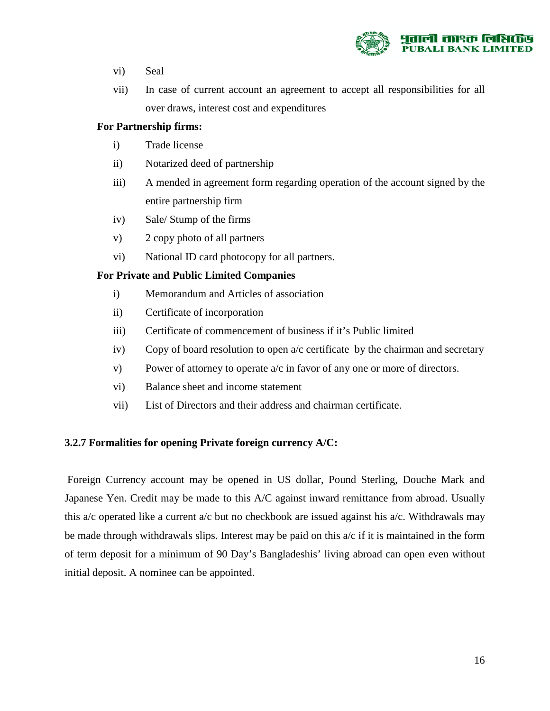

- vi) Seal
- vii) In case of current account an agreement to accept all responsibilities for all over draws, interest cost and expenditures

#### **For Partnership firms:**

- i) Trade license
- ii) Notarized deed of partnership
- iii) A mended in agreement form regarding operation of the account signed by the entire partnership firm
- iv) Sale/ Stump of the firms
- v) 2 copy photo of all partners
- vi) National ID card photocopy for all partners.

#### **For Private and Public Limited Companies**

- i) Memorandum and Articles of association
- ii) Certificate of incorporation
- iii) Certificate of commencement of business if it's Public limited
- iv) Copy of board resolution to open a/c certificate by the chairman and secretary
- v) Power of attorney to operate a/c in favor of any one or more of directors.
- vi) Balance sheet and income statement
- vii) List of Directors and their address and chairman certificate.

#### **3.2.7 Formalities for opening Private foreign currency A/C:**

Foreign Currency account may be opened in US dollar, Pound Sterling, Douche Mark and Japanese Yen. Credit may be made to this A/C against inward remittance from abroad. Usually this a/c operated like a current a/c but no checkbook are issued against his a/c. Withdrawals may be made through withdrawals slips. Interest may be paid on this  $a/c$  if it is maintained in the form of term deposit for a minimum of 90 Day's Bangladeshis' living abroad can open even without initial deposit. A nominee can be appointed.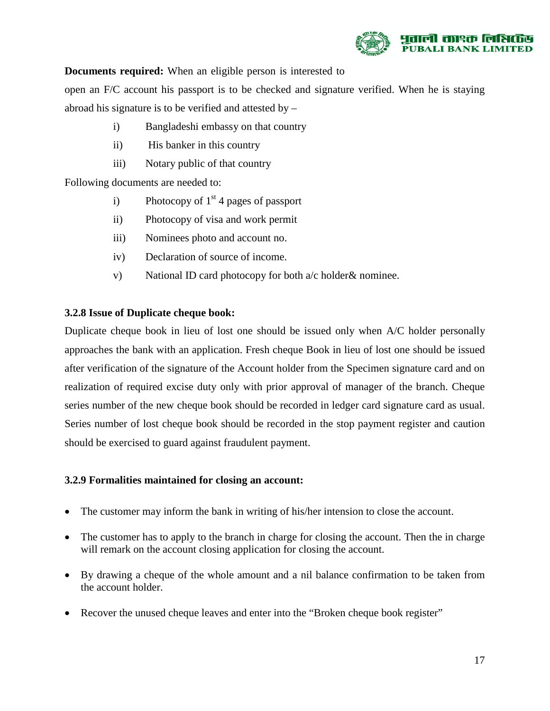

#### **Documents required:** When an eligible person is interested to

open an F/C account his passport is to be checked and signature verified. When he is staying abroad his signature is to be verified and attested by –

- i) Bangladeshi embassy on that country
- ii) His banker in this country
- iii) Notary public of that country

Following documents are needed to:

- i) Photocopy of  $1<sup>st</sup>$  4 pages of passport
- ii) Photocopy of visa and work permit
- iii) Nominees photo and account no.
- iv) Declaration of source of income.
- v) National ID card photocopy for both a/c holder& nominee.

#### **3.2.8 Issue of Duplicate cheque book:**

Duplicate cheque book in lieu of lost one should be issued only when A/C holder personally approaches the bank with an application. Fresh cheque Book in lieu of lost one should be issued after verification of the signature of the Account holder from the Specimen signature card and on realization of required excise duty only with prior approval of manager of the branch. Cheque series number of the new cheque book should be recorded in ledger card signature card as usual. Series number of lost cheque book should be recorded in the stop payment register and caution should be exercised to guard against fraudulent payment.

#### **3.2.9 Formalities maintained for closing an account:**

- The customer may inform the bank in writing of his/her intension to close the account.
- The customer has to apply to the branch in charge for closing the account. Then the in charge will remark on the account closing application for closing the account.
- By drawing a cheque of the whole amount and a nil balance confirmation to be taken from the account holder.
- Recover the unused cheque leaves and enter into the "Broken cheque book register"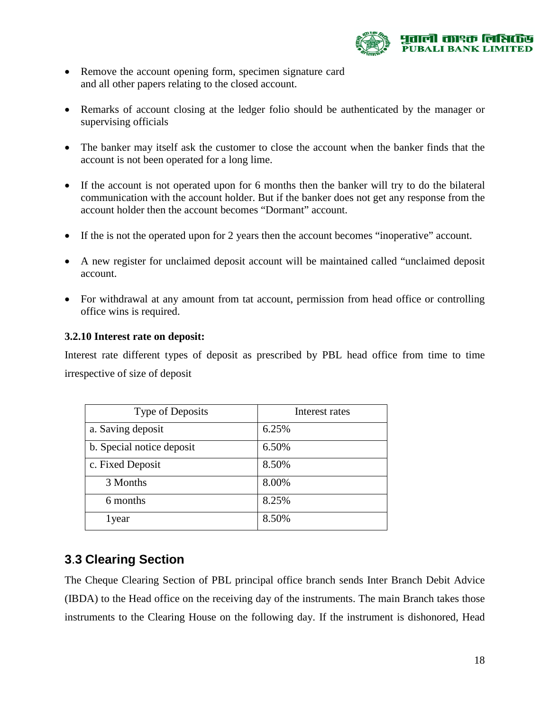

- Remove the account opening form, specimen signature card and all other papers relating to the closed account.
- Remarks of account closing at the ledger folio should be authenticated by the manager or supervising officials
- The banker may itself ask the customer to close the account when the banker finds that the account is not been operated for a long lime.
- If the account is not operated upon for 6 months then the banker will try to do the bilateral communication with the account holder. But if the banker does not get any response from the account holder then the account becomes "Dormant" account.
- If the is not the operated upon for 2 years then the account becomes "inoperative" account.
- A new register for unclaimed deposit account will be maintained called "unclaimed deposit account.
- For withdrawal at any amount from tat account, permission from head office or controlling office wins is required.

#### **3.2.10 Interest rate on deposit:**

Interest rate different types of deposit as prescribed by PBL head office from time to time irrespective of size of deposit

| Type of Deposits          | Interest rates |
|---------------------------|----------------|
| a. Saving deposit         | 6.25%          |
| b. Special notice deposit | 6.50%          |
| c. Fixed Deposit          | 8.50%          |
| 3 Months                  | 8.00%          |
| 6 months                  | 8.25%          |
| 1 year                    | 8.50%          |

#### **3**.**3 Clearing Section**

The Cheque Clearing Section of PBL principal office branch sends Inter Branch Debit Advice (IBDA) to the Head office on the receiving day of the instruments. The main Branch takes those instruments to the Clearing House on the following day. If the instrument is dishonored, Head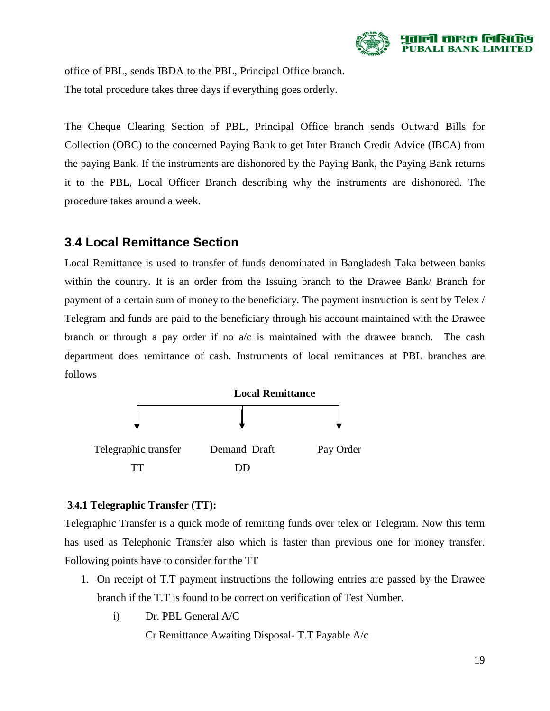

office of PBL, sends IBDA to the PBL, Principal Office branch. The total procedure takes three days if everything goes orderly.

The Cheque Clearing Section of PBL, Principal Office branch sends Outward Bills for Collection (OBC) to the concerned Paying Bank to get Inter Branch Credit Advice (IBCA) from the paying Bank. If the instruments are dishonored by the Paying Bank, the Paying Bank returns it to the PBL, Local Officer Branch describing why the instruments are dishonored. The procedure takes around a week.

#### **3**.**4 Local Remittance Section**

Local Remittance is used to transfer of funds denominated in Bangladesh Taka between banks within the country. It is an order from the Issuing branch to the Drawee Bank/ Branch for payment of a certain sum of money to the beneficiary. The payment instruction is sent by Telex / Telegram and funds are paid to the beneficiary through his account maintained with the Drawee branch or through a pay order if no  $a/c$  is maintained with the drawee branch. The cash department does remittance of cash. Instruments of local remittances at PBL branches are follows



#### **3**.**4.1 Telegraphic Transfer (TT):**

Telegraphic Transfer is a quick mode of remitting funds over telex or Telegram. Now this term has used as Telephonic Transfer also which is faster than previous one for money transfer. Following points have to consider for the TT

- 1. On receipt of T.T payment instructions the following entries are passed by the Drawee branch if the T.T is found to be correct on verification of Test Number.
	- i) Dr. PBL General A/C

Cr Remittance Awaiting Disposal- T.T Payable A/c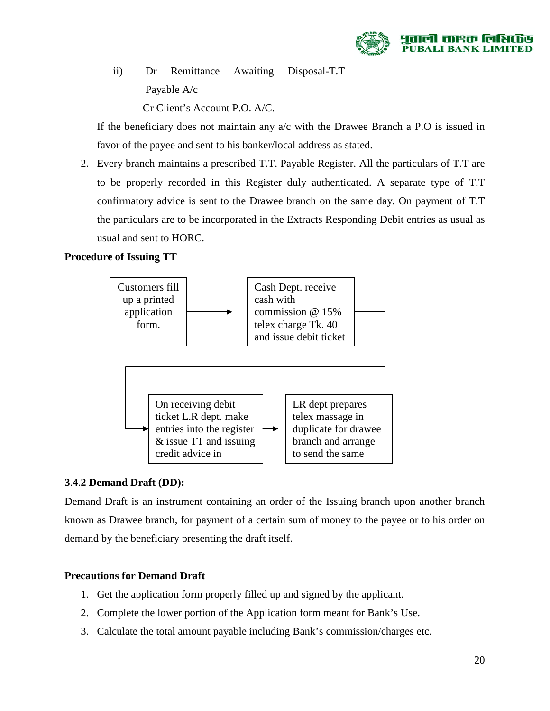

ii) Dr Remittance Awaiting Disposal-T.T Payable A/c

Cr Client's Account P.O. A/C.

If the beneficiary does not maintain any a/c with the Drawee Branch a P.O is issued in favor of the payee and sent to his banker/local address as stated.

2. Every branch maintains a prescribed T.T. Payable Register. All the particulars of T.T are to be properly recorded in this Register duly authenticated. A separate type of T.T confirmatory advice is sent to the Drawee branch on the same day. On payment of T.T the particulars are to be incorporated in the Extracts Responding Debit entries as usual as usual and sent to HORC.

#### **Procedure of Issuing TT**



#### **3**.**4**.**2 Demand Draft (DD):**

Demand Draft is an instrument containing an order of the Issuing branch upon another branch known as Drawee branch, for payment of a certain sum of money to the payee or to his order on demand by the beneficiary presenting the draft itself.

#### **Precautions for Demand Draft**

- 1. Get the application form properly filled up and signed by the applicant.
- 2. Complete the lower portion of the Application form meant for Bank's Use.
- 3. Calculate the total amount payable including Bank's commission/charges etc.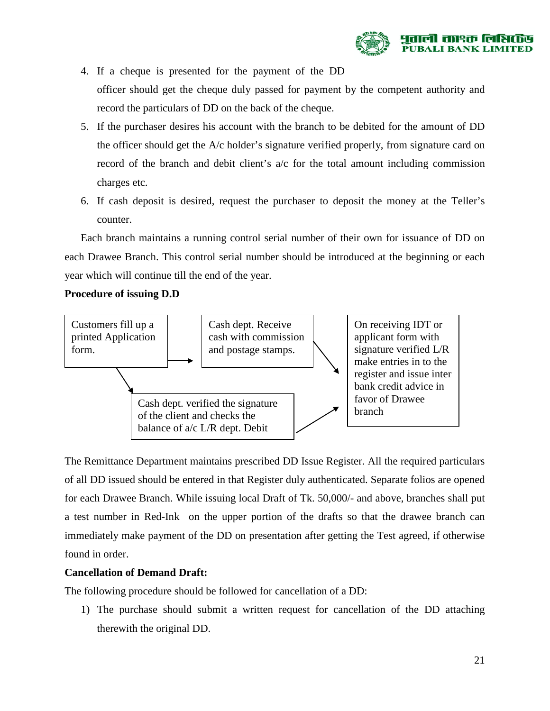

- 4. If a cheque is presented for the payment of the DD officer should get the cheque duly passed for payment by the competent authority and record the particulars of DD on the back of the cheque.
- 5. If the purchaser desires his account with the branch to be debited for the amount of DD the officer should get the A/c holder's signature verified properly, from signature card on record of the branch and debit client's a/c for the total amount including commission charges etc.
- 6. If cash deposit is desired, request the purchaser to deposit the money at the Teller's counter.

Each branch maintains a running control serial number of their own for issuance of DD on each Drawee Branch. This control serial number should be introduced at the beginning or each year which will continue till the end of the year.

#### **Procedure of issuing D.D**



The Remittance Department maintains prescribed DD Issue Register. All the required particulars of all DD issued should be entered in that Register duly authenticated. Separate folios are opened for each Drawee Branch. While issuing local Draft of Tk. 50,000/- and above, branches shall put a test number in Red-Ink on the upper portion of the drafts so that the drawee branch can immediately make payment of the DD on presentation after getting the Test agreed, if otherwise found in order.

#### **Cancellation of Demand Draft:**

The following procedure should be followed for cancellation of a DD:

1) The purchase should submit a written request for cancellation of the DD attaching therewith the original DD.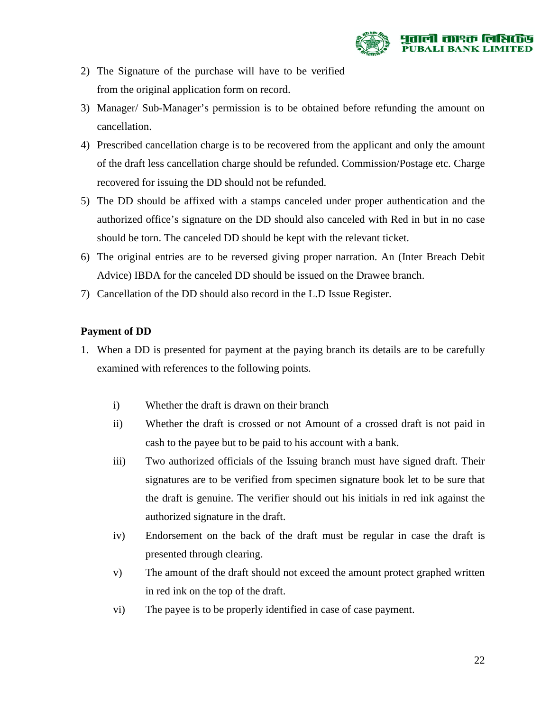

- 2) The Signature of the purchase will have to be verified from the original application form on record.
- 3) Manager/ Sub-Manager's permission is to be obtained before refunding the amount on cancellation.
- 4) Prescribed cancellation charge is to be recovered from the applicant and only the amount of the draft less cancellation charge should be refunded. Commission/Postage etc. Charge recovered for issuing the DD should not be refunded.
- 5) The DD should be affixed with a stamps canceled under proper authentication and the authorized office's signature on the DD should also canceled with Red in but in no case should be torn. The canceled DD should be kept with the relevant ticket.
- 6) The original entries are to be reversed giving proper narration. An (Inter Breach Debit Advice) IBDA for the canceled DD should be issued on the Drawee branch.
- 7) Cancellation of the DD should also record in the L.D Issue Register.

#### **Payment of DD**

- 1. When a DD is presented for payment at the paying branch its details are to be carefully examined with references to the following points.
	- i) Whether the draft is drawn on their branch
	- ii) Whether the draft is crossed or not Amount of a crossed draft is not paid in cash to the payee but to be paid to his account with a bank.
	- iii) Two authorized officials of the Issuing branch must have signed draft. Their signatures are to be verified from specimen signature book let to be sure that the draft is genuine. The verifier should out his initials in red ink against the authorized signature in the draft.
	- iv) Endorsement on the back of the draft must be regular in case the draft is presented through clearing.
	- v) The amount of the draft should not exceed the amount protect graphed written in red ink on the top of the draft.
	- vi) The payee is to be properly identified in case of case payment.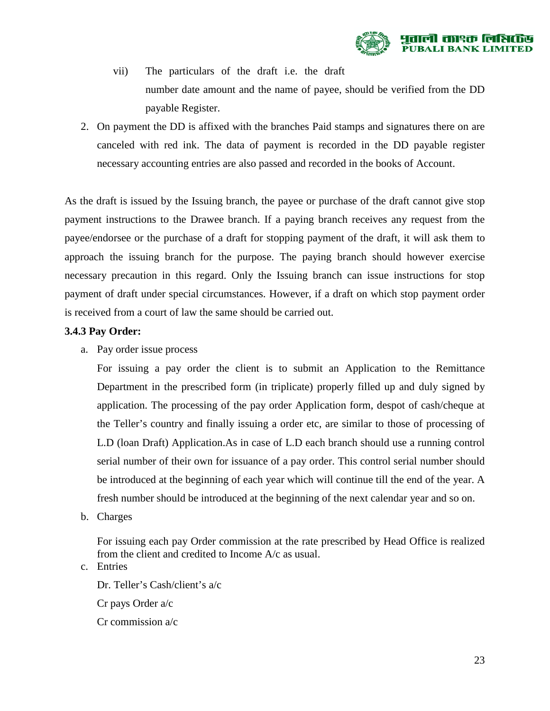

vii) The particulars of the draft i.e. the draft number date amount and the name of payee, should be verified from the DD payable Register.

2. On payment the DD is affixed with the branches Paid stamps and signatures there on are canceled with red ink. The data of payment is recorded in the DD payable register necessary accounting entries are also passed and recorded in the books of Account.

As the draft is issued by the Issuing branch, the payee or purchase of the draft cannot give stop payment instructions to the Drawee branch. If a paying branch receives any request from the payee/endorsee or the purchase of a draft for stopping payment of the draft, it will ask them to approach the issuing branch for the purpose. The paying branch should however exercise necessary precaution in this regard. Only the Issuing branch can issue instructions for stop payment of draft under special circumstances. However, if a draft on which stop payment order is received from a court of law the same should be carried out.

#### **3.4.3 Pay Order:**

a. Pay order issue process

For issuing a pay order the client is to submit an Application to the Remittance Department in the prescribed form (in triplicate) properly filled up and duly signed by application. The processing of the pay order Application form, despot of cash/cheque at the Teller's country and finally issuing a order etc, are similar to those of processing of L.D (loan Draft) Application.As in case of L.D each branch should use a running control serial number of their own for issuance of a pay order. This control serial number should be introduced at the beginning of each year which will continue till the end of the year. A fresh number should be introduced at the beginning of the next calendar year and so on.

b. Charges

For issuing each pay Order commission at the rate prescribed by Head Office is realized from the client and credited to Income A/c as usual.

c. Entries

Dr. Teller's Cash/client's a/c Cr pays Order a/c Cr commission a/c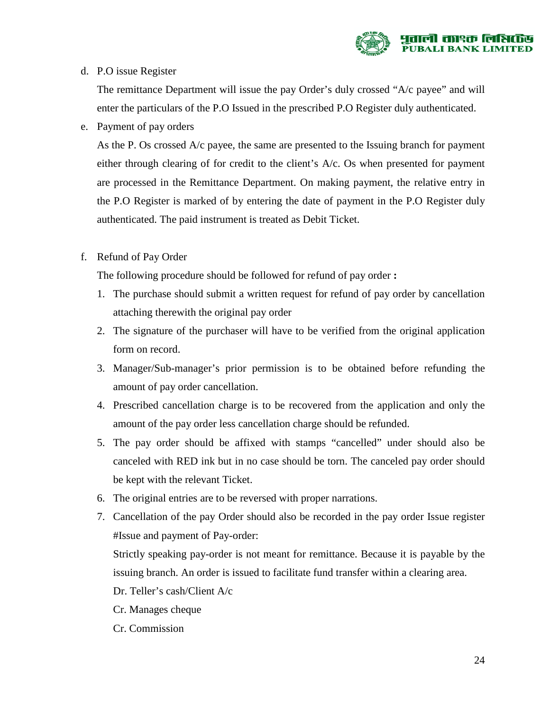

#### d. P.O issue Register

The remittance Department will issue the pay Order's duly crossed "A/c payee" and will enter the particulars of the P.O Issued in the prescribed P.O Register duly authenticated.

e. Payment of pay orders

As the P. Os crossed A/c payee, the same are presented to the Issuing branch for payment either through clearing of for credit to the client's A/c. Os when presented for payment are processed in the Remittance Department. On making payment, the relative entry in the P.O Register is marked of by entering the date of payment in the P.O Register duly authenticated. The paid instrument is treated as Debit Ticket.

f. Refund of Pay Order

The following procedure should be followed for refund of pay order **:**

- 1. The purchase should submit a written request for refund of pay order by cancellation attaching therewith the original pay order
- 2. The signature of the purchaser will have to be verified from the original application form on record.
- 3. Manager/Sub-manager's prior permission is to be obtained before refunding the amount of pay order cancellation.
- 4. Prescribed cancellation charge is to be recovered from the application and only the amount of the pay order less cancellation charge should be refunded.
- 5. The pay order should be affixed with stamps "cancelled" under should also be canceled with RED ink but in no case should be torn. The canceled pay order should be kept with the relevant Ticket.
- 6. The original entries are to be reversed with proper narrations.
- 7. Cancellation of the pay Order should also be recorded in the pay order Issue register #Issue and payment of Pay-order:

Strictly speaking pay-order is not meant for remittance. Because it is payable by the issuing branch. An order is issued to facilitate fund transfer within a clearing area.

- Dr. Teller's cash/Client A/c
- Cr. Manages cheque
- Cr. Commission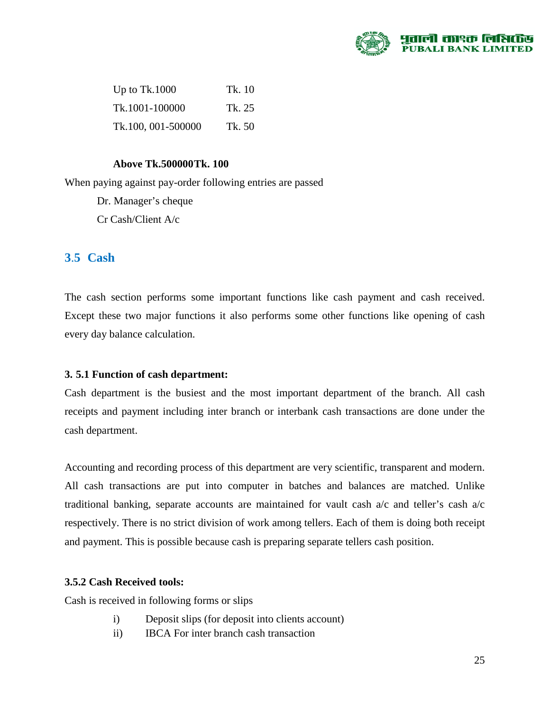

| Up to $Tk.1000$    | Tk. 10 |
|--------------------|--------|
| Tk.1001-100000     | Tk. 25 |
| Tk.100, 001-500000 | Tk. 50 |

#### **Above Tk.500000 Tk. 100**

When paying against pay-order following entries are passed

Dr. Manager's cheque

Cr Cash/Client A/c

#### **3**.**5 Cash**

The cash section performs some important functions like cash payment and cash received. Except these two major functions it also performs some other functions like opening of cash every day balance calculation.

#### **3. 5.1 Function of cash department:**

Cash department is the busiest and the most important department of the branch. All cash receipts and payment including inter branch or interbank cash transactions are done under the cash department.

Accounting and recording process of this department are very scientific, transparent and modern. All cash transactions are put into computer in batches and balances are matched. Unlike traditional banking, separate accounts are maintained for vault cash a/c and teller's cash a/c respectively. There is no strict division of work among tellers. Each of them is doing both receipt and payment. This is possible because cash is preparing separate tellers cash position.

#### **3.5.2 Cash Received tools:**

Cash is received in following forms or slips

- i) Deposit slips (for deposit into clients account)
- ii) IBCA For inter branch cash transaction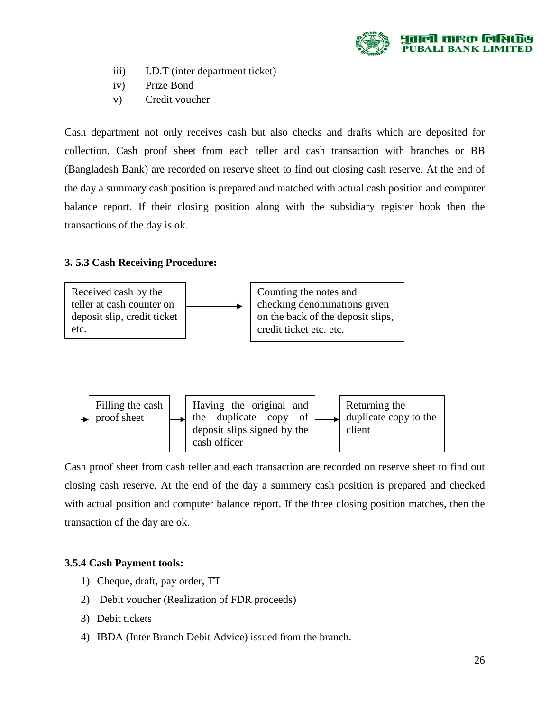

- iii) I.D.T (inter department ticket)
- iv) Prize Bond
- v) Credit voucher

Cash department not only receives cash but also checks and drafts which are deposited for collection. Cash proof sheet from each teller and cash transaction with branches or BB (Bangladesh Bank) are recorded on reserve sheet to find out closing cash reserve. At the end of the day a summary cash position is prepared and matched with actual cash position and computer balance report. If their closing position along with the subsidiary register book then the transactions of the day is ok.

#### **3. 5.3 Cash Receiving Procedure:**



Cash proof sheet from cash teller and each transaction are recorded on reserve sheet to find out closing cash reserve. At the end of the day a summery cash position is prepared and checked with actual position and computer balance report. If the three closing position matches, then the transaction of the day are ok.

#### **3.5.4 Cash Payment tools:**

- 1) Cheque, draft, pay order, TT
- 2) Debit voucher (Realization of FDR proceeds)
- 3) Debit tickets
- 4) IBDA (Inter Branch Debit Advice) issued from the branch.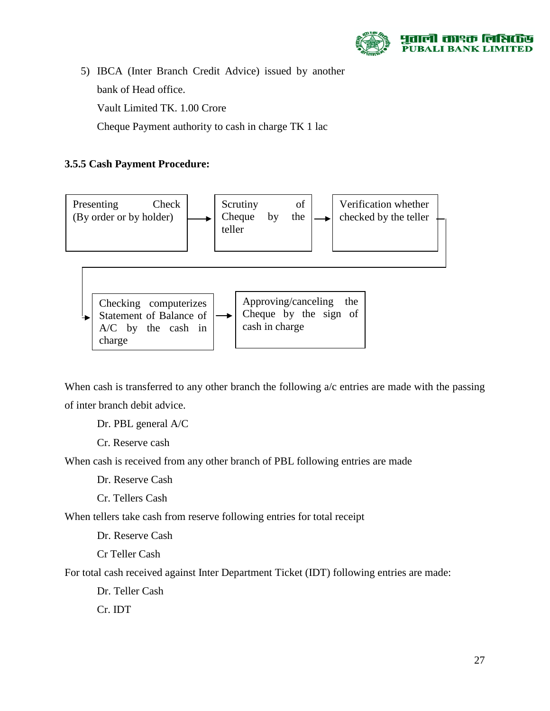

5) IBCA (Inter Branch Credit Advice) issued by another bank of Head office. Vault Limited TK. 1.00 Crore Cheque Payment authority to cash in charge TK 1 lac

#### **3.5.5 Cash Payment Procedure:**



When cash is transferred to any other branch the following  $a/c$  entries are made with the passing of inter branch debit advice.

Dr. PBL general A/C

Cr. Reserve cash

When cash is received from any other branch of PBL following entries are made

Dr. Reserve Cash

Cr. Tellers Cash

When tellers take cash from reserve following entries for total receipt

Dr. Reserve Cash

Cr Teller Cash

For total cash received against Inter Department Ticket (IDT) following entries are made:

Dr. Teller Cash

Cr. IDT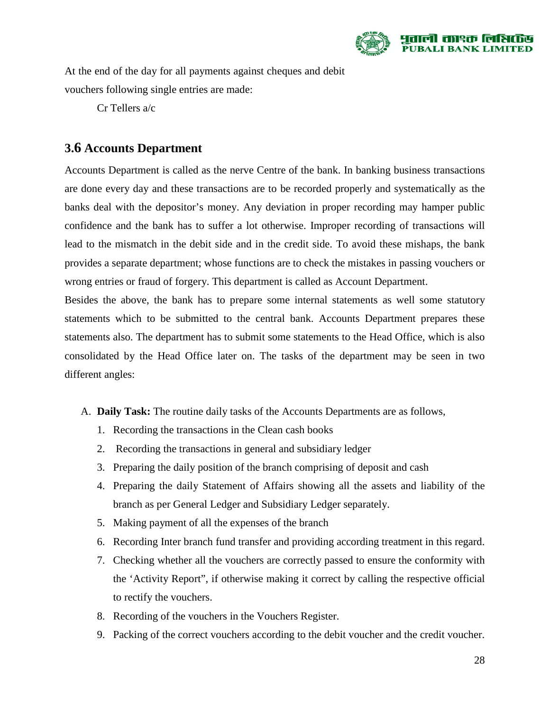

At the end of the day for all payments against cheques and debit vouchers following single entries are made:

Cr Tellers a/c

# **3.6 Accounts Department**

Accounts Department is called as the nerve Centre of the bank. In banking business transactions are done every day and these transactions are to be recorded properly and systematically as the banks deal with the depositor's money. Any deviation in proper recording may hamper public confidence and the bank has to suffer a lot otherwise. Improper recording of transactions will lead to the mismatch in the debit side and in the credit side. To avoid these mishaps, the bank provides a separate department; whose functions are to check the mistakes in passing vouchers or wrong entries or fraud of forgery. This department is called as Account Department.

Besides the above, the bank has to prepare some internal statements as well some statutory statements which to be submitted to the central bank. Accounts Department prepares these statements also. The department has to submit some statements to the Head Office, which is also consolidated by the Head Office later on. The tasks of the department may be seen in two different angles:

- A. **Daily Task:** The routine daily tasks of the Accounts Departments are as follows,
	- 1. Recording the transactions in the Clean cash books
	- 2. Recording the transactions in general and subsidiary ledger
	- 3. Preparing the daily position of the branch comprising of deposit and cash
	- 4. Preparing the daily Statement of Affairs showing all the assets and liability of the branch as per General Ledger and Subsidiary Ledger separately.
	- 5. Making payment of all the expenses of the branch
	- 6. Recording Inter branch fund transfer and providing according treatment in this regard.
	- 7. Checking whether all the vouchers are correctly passed to ensure the conformity with the 'Activity Report", if otherwise making it correct by calling the respective official to rectify the vouchers.
	- 8. Recording of the vouchers in the Vouchers Register.
	- 9. Packing of the correct vouchers according to the debit voucher and the credit voucher.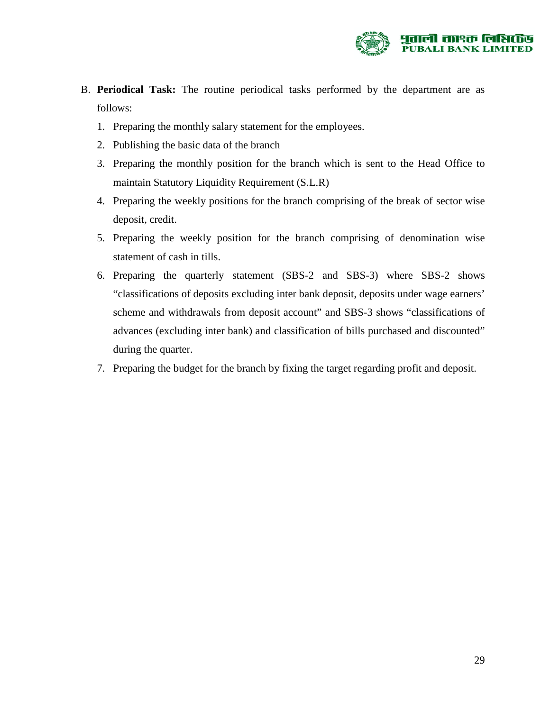

- B. **Periodical Task:** The routine periodical tasks performed by the department are as follows:
	- 1. Preparing the monthly salary statement for the employees.
	- 2. Publishing the basic data of the branch
	- 3. Preparing the monthly position for the branch which is sent to the Head Office to maintain Statutory Liquidity Requirement (S.L.R)
	- 4. Preparing the weekly positions for the branch comprising of the break of sector wise deposit, credit.
	- 5. Preparing the weekly position for the branch comprising of denomination wise statement of cash in tills.
	- 6. Preparing the quarterly statement (SBS-2 and SBS-3) where SBS-2 shows "classifications of deposits excluding inter bank deposit, deposits under wage earners' scheme and withdrawals from deposit account" and SBS-3 shows "classifications of advances (excluding inter bank) and classification of bills purchased and discounted" during the quarter.
	- 7. Preparing the budget for the branch by fixing the target regarding profit and deposit.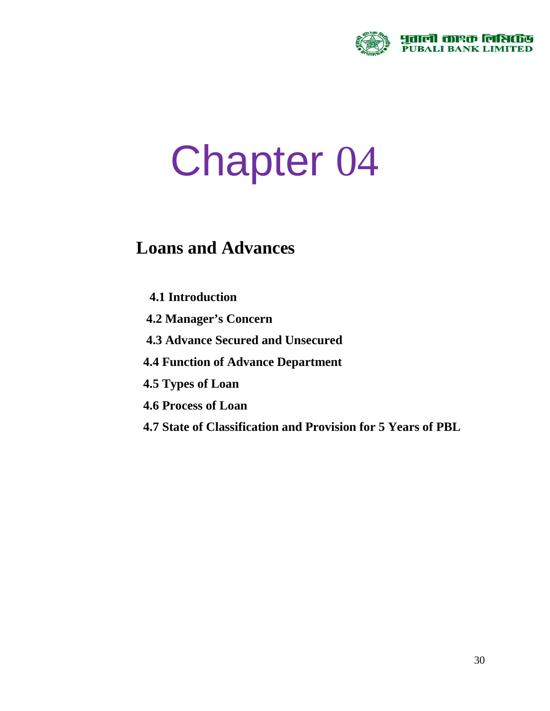

# Chapter 04

# **Loans and Advances**

- **4.1 Introduction**
- **4.2 Manager's Concern**
- **4.3 Advance Secured and Unsecured**
- **4.4 Function of Advance Department**
- **4.5 Types of Loan**
- **4.6 Process of Loan**
- **4.7 State of Classification and Provision for 5 Years of PBL**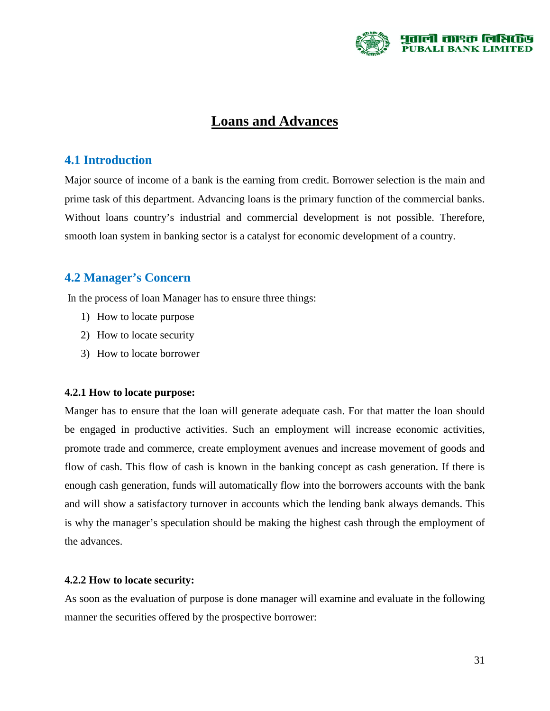

# **Loans and Advances**

#### **4.1 Introduction**

Major source of income of a bank is the earning from credit. Borrower selection is the main and prime task of this department. Advancing loans is the primary function of the commercial banks. Without loans country's industrial and commercial development is not possible. Therefore, smooth loan system in banking sector is a catalyst for economic development of a country.

## **4.2 Manager's Concern**

In the process of loan Manager has to ensure three things:

- 1) How to locate purpose
- 2) How to locate security
- 3) How to locate borrower

#### **4.2.1 How to locate purpose:**

Manger has to ensure that the loan will generate adequate cash. For that matter the loan should be engaged in productive activities. Such an employment will increase economic activities, promote trade and commerce, create employment avenues and increase movement of goods and flow of cash. This flow of cash is known in the banking concept as cash generation. If there is enough cash generation, funds will automatically flow into the borrowers accounts with the bank and will show a satisfactory turnover in accounts which the lending bank always demands. This is why the manager's speculation should be making the highest cash through the employment of the advances.

#### **4.2.2 How to locate security:**

As soon as the evaluation of purpose is done manager will examine and evaluate in the following manner the securities offered by the prospective borrower: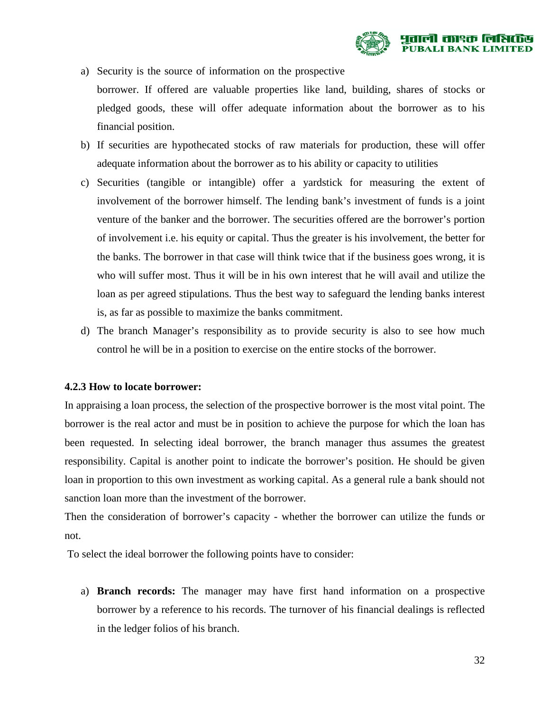

- a) Security is the source of information on the prospective borrower. If offered are valuable properties like land, building, shares of stocks or pledged goods, these will offer adequate information about the borrower as to his financial position.
- b) If securities are hypothecated stocks of raw materials for production, these will offer adequate information about the borrower as to his ability or capacity to utilities
- c) Securities (tangible or intangible) offer a yardstick for measuring the extent of involvement of the borrower himself. The lending bank's investment of funds is a joint venture of the banker and the borrower. The securities offered are the borrower's portion of involvement i.e. his equity or capital. Thus the greater is his involvement, the better for the banks. The borrower in that case will think twice that if the business goes wrong, it is who will suffer most. Thus it will be in his own interest that he will avail and utilize the loan as per agreed stipulations. Thus the best way to safeguard the lending banks interest is, as far as possible to maximize the banks commitment.
- d) The branch Manager's responsibility as to provide security is also to see how much control he will be in a position to exercise on the entire stocks of the borrower.

#### **4.2.3 How to locate borrower:**

In appraising a loan process, the selection of the prospective borrower is the most vital point. The borrower is the real actor and must be in position to achieve the purpose for which the loan has been requested. In selecting ideal borrower, the branch manager thus assumes the greatest responsibility. Capital is another point to indicate the borrower's position. He should be given loan in proportion to this own investment as working capital. As a general rule a bank should not sanction loan more than the investment of the borrower.

Then the consideration of borrower's capacity - whether the borrower can utilize the funds or not.

To select the ideal borrower the following points have to consider:

a) **Branch records:** The manager may have first hand information on a prospective borrower by a reference to his records. The turnover of his financial dealings is reflected in the ledger folios of his branch.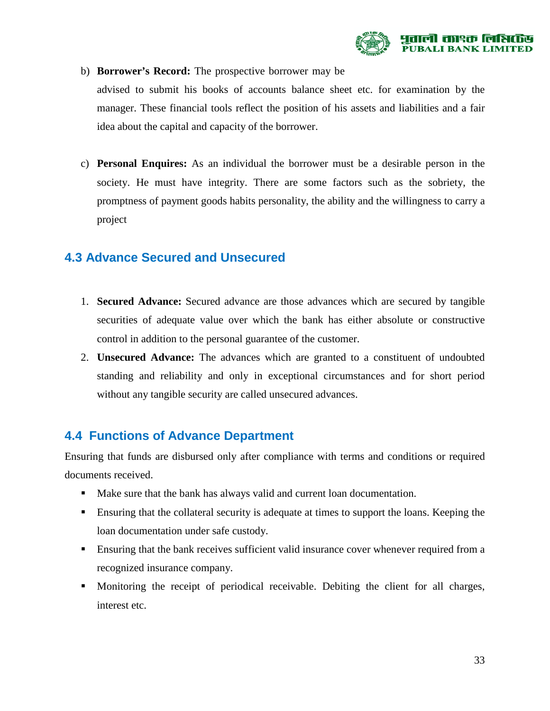

b) **Borrower's Record:** The prospective borrower may be

advised to submit his books of accounts balance sheet etc. for examination by the manager. These financial tools reflect the position of his assets and liabilities and a fair idea about the capital and capacity of the borrower.

c) **Personal Enquires:** As an individual the borrower must be a desirable person in the society. He must have integrity. There are some factors such as the sobriety, the promptness of payment goods habits personality, the ability and the willingness to carry a project

## **4.3 Advance Secured and Unsecured**

- 1. **Secured Advance:** Secured advance are those advances which are secured by tangible securities of adequate value over which the bank has either absolute or constructive control in addition to the personal guarantee of the customer.
- 2. **Unsecured Advance:** The advances which are granted to a constituent of undoubted standing and reliability and only in exceptional circumstances and for short period without any tangible security are called unsecured advances.

# **4.4 Functions of Advance Department**

Ensuring that funds are disbursed only after compliance with terms and conditions or required documents received.

- Make sure that the bank has always valid and current loan documentation.
- Ensuring that the collateral security is adequate at times to support the loans. Keeping the loan documentation under safe custody.
- Ensuring that the bank receives sufficient valid insurance cover whenever required from a recognized insurance company.
- Monitoring the receipt of periodical receivable. Debiting the client for all charges, interest etc.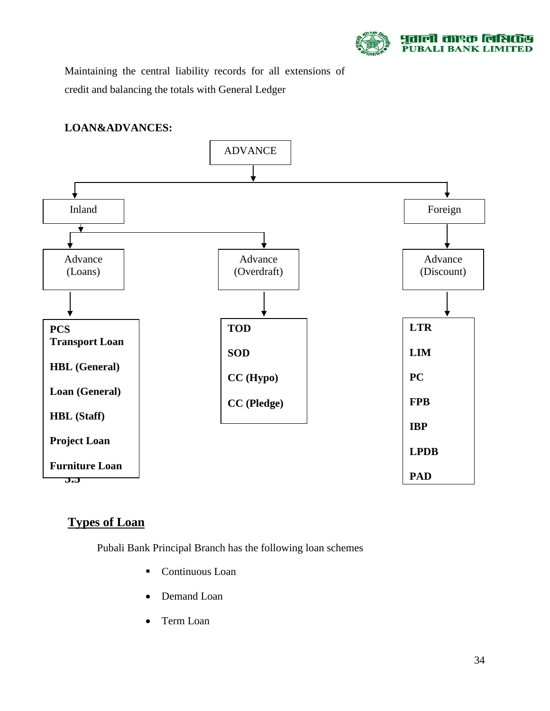

Maintaining the central liability records for all extensions of credit and balancing the totals with General Ledger

#### **LOAN&ADVANCES:**



# **Types of Loan**

Pubali Bank Principal Branch has the following loan schemes

- Continuous Loan
- Demand Loan
- Term Loan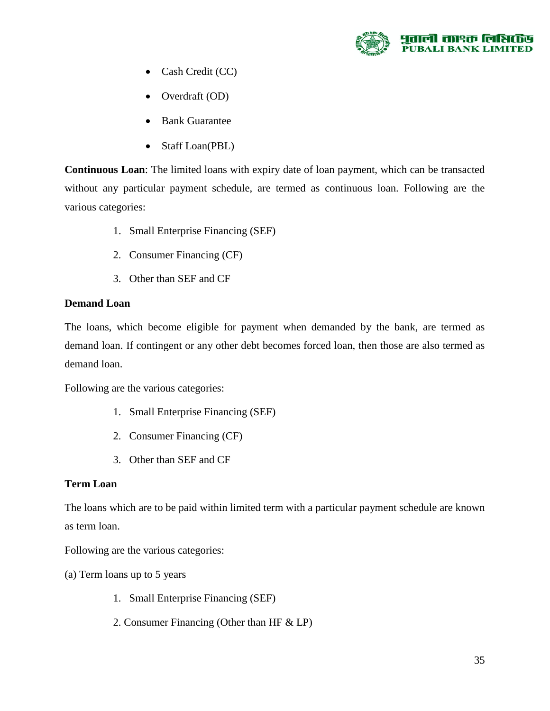

- Cash Credit (CC)
- Overdraft (OD)
- Bank Guarantee
- Staff Loan(PBL)

**Continuous Loan**: The limited loans with expiry date of loan payment, which can be transacted without any particular payment schedule, are termed as continuous loan. Following are the various categories:

- 1. Small Enterprise Financing (SEF)
- 2. Consumer Financing (CF)
- 3. Other than SEF and CF

#### **Demand Loan**

The loans, which become eligible for payment when demanded by the bank, are termed as demand loan. If contingent or any other debt becomes forced loan, then those are also termed as demand loan.

Following are the various categories:

- 1. Small Enterprise Financing (SEF)
- 2. Consumer Financing (CF)
- 3. Other than SEF and CF

#### **Term Loan**

The loans which are to be paid within limited term with a particular payment schedule are known as term loan.

Following are the various categories:

- (a) Term loans up to 5 years
	- 1. Small Enterprise Financing (SEF)
	- 2. Consumer Financing (Other than HF & LP)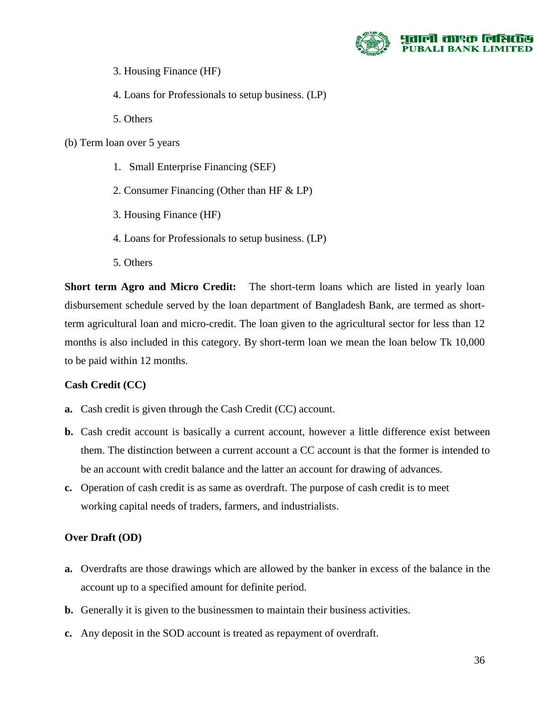

- 3. Housing Finance (HF)
- 4. Loans for Professionals to setup business. (LP)
- 5. Others

#### (b) Term loan over 5 years

- 1. Small Enterprise Financing (SEF)
- 2. Consumer Financing (Other than HF & LP)
- 3. Housing Finance (HF)
- 4. Loans for Professionals to setup business. (LP)
- 5. Others

**Short term Agro and Micro Credit:** The short-term loans which are listed in yearly loan disbursement schedule served by the loan department of Bangladesh Bank, are termed as shortterm agricultural loan and micro-credit. The loan given to the agricultural sector for less than 12 months is also included in this category. By short-term loan we mean the loan below Tk 10,000 to be paid within 12 months.

#### **Cash Credit (CC)**

- **a.** Cash credit is given through the Cash Credit (CC) account.
- **b.** Cash credit account is basically a current account, however a little difference exist between them. The distinction between a current account a CC account is that the former is intended to be an account with credit balance and the latter an account for drawing of advances.
- **c.** Operation of cash credit is as same as overdraft. The purpose of cash credit is to meet working capital needs of traders, farmers, and industrialists.

#### **Over Draft (OD)**

- **a.** Overdrafts are those drawings which are allowed by the banker in excess of the balance in the account up to a specified amount for definite period.
- **b.** Generally it is given to the businessmen to maintain their business activities.
- **c.** Any deposit in the SOD account is treated as repayment of overdraft.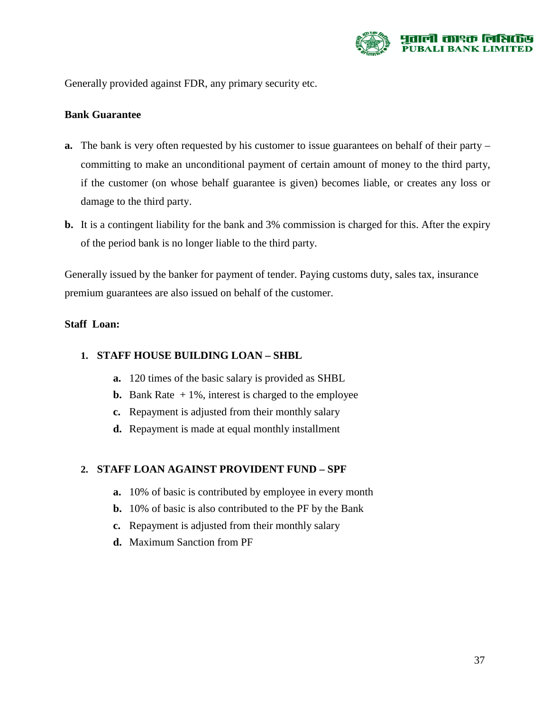

Generally provided against FDR, any primary security etc.

#### **Bank Guarantee**

- **a.** The bank is very often requested by his customer to issue guarantees on behalf of their party committing to make an unconditional payment of certain amount of money to the third party, if the customer (on whose behalf guarantee is given) becomes liable, or creates any loss or damage to the third party.
- **b.** It is a contingent liability for the bank and 3% commission is charged for this. After the expiry of the period bank is no longer liable to the third party.

Generally issued by the banker for payment of tender. Paying customs duty, sales tax, insurance premium guarantees are also issued on behalf of the customer.

#### **Staff Loan:**

#### **1. STAFF HOUSE BUILDING LOAN – SHBL**

- **a.** 120 times of the basic salary is provided as SHBL
- **b.** Bank Rate  $+1\%$ , interest is charged to the employee
- **c.** Repayment is adjusted from their monthly salary
- **d.** Repayment is made at equal monthly installment

#### **2. STAFF LOAN AGAINST PROVIDENT FUND – SPF**

- **a.** 10% of basic is contributed by employee in every month
- **b.** 10% of basic is also contributed to the PF by the Bank
- **c.** Repayment is adjusted from their monthly salary
- **d.** Maximum Sanction from PF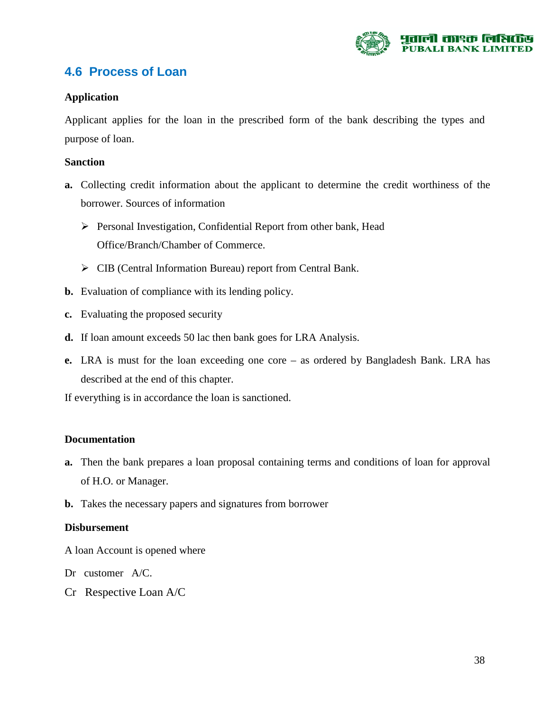

# **4.6 Process of Loan**

#### **Application**

Applicant applies for the loan in the prescribed form of the bank describing the types and purpose of loan.

#### **Sanction**

- **a.** Collecting credit information about the applicant to determine the credit worthiness of the borrower. Sources of information
	- Personal Investigation, Confidential Report from other bank, Head Office/Branch/Chamber of Commerce.
	- CIB (Central Information Bureau) report from Central Bank.
- **b.** Evaluation of compliance with its lending policy.
- **c.** Evaluating the proposed security
- **d.** If loan amount exceeds 50 lac then bank goes for LRA Analysis.
- **e.** LRA is must for the loan exceeding one core as ordered by Bangladesh Bank. LRA has described at the end of this chapter.

If everything is in accordance the loan is sanctioned.

#### **Documentation**

- **a.** Then the bank prepares a loan proposal containing terms and conditions of loan for approval of H.O. or Manager.
- **b.** Takes the necessary papers and signatures from borrower

#### **Disbursement**

- A loan Account is opened where
- Dr customer A/C.
- Cr Respective Loan A/C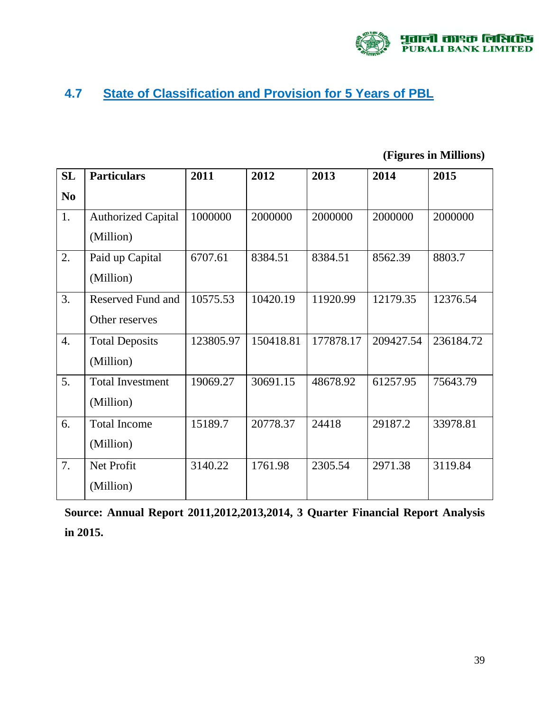

# **4.7 State of Classification and Provision for 5 Years of PBL**

**(Figures in Millions)** 

| SL             | <b>Particulars</b>                         | 2011      | 2012      | 2013      | 2014      | 2015      |
|----------------|--------------------------------------------|-----------|-----------|-----------|-----------|-----------|
| N <sub>0</sub> |                                            |           |           |           |           |           |
| 1.             | <b>Authorized Capital</b><br>(Million)     | 1000000   | 2000000   | 2000000   | 2000000   | 2000000   |
| 2.             | Paid up Capital<br>(Million)               | 6707.61   | 8384.51   | 8384.51   | 8562.39   | 8803.7    |
| 3.             | <b>Reserved Fund and</b><br>Other reserves | 10575.53  | 10420.19  | 11920.99  | 12179.35  | 12376.54  |
| 4.             | <b>Total Deposits</b><br>(Million)         | 123805.97 | 150418.81 | 177878.17 | 209427.54 | 236184.72 |
| 5.             | <b>Total Investment</b><br>(Million)       | 19069.27  | 30691.15  | 48678.92  | 61257.95  | 75643.79  |
| 6.             | <b>Total Income</b><br>(Million)           | 15189.7   | 20778.37  | 24418     | 29187.2   | 33978.81  |
| 7.             | Net Profit<br>(Million)                    | 3140.22   | 1761.98   | 2305.54   | 2971.38   | 3119.84   |

**Source: Annual Report 2011,2012,2013,2014, 3 Quarter Financial Report Analysis in 2015.**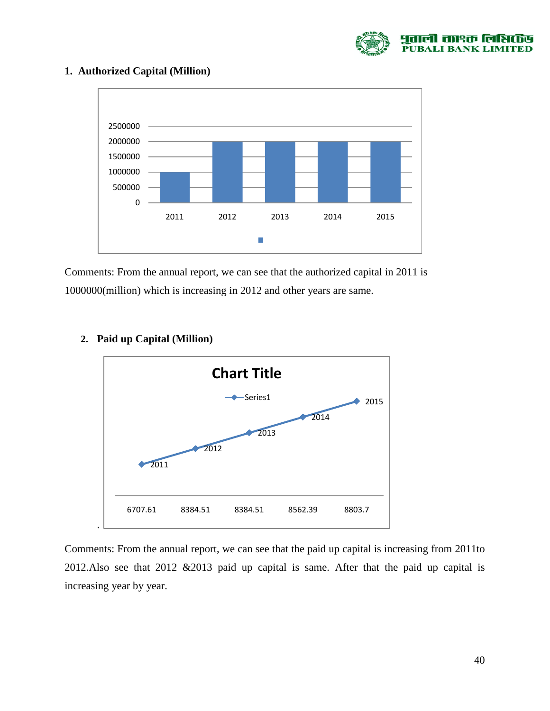

#### **1. Authorized Capital (Million)**



Comments: From the annual report, we can see that the authorized capital in 2011 is 1000000(million) which is increasing in 2012 and other years are same.



#### **2. Paid up Capital (Million)**

Comments: From the annual report, we can see that the paid up capital is increasing from 2011to 2012.Also see that 2012 &2013 paid up capital is same. After that the paid up capital is increasing year by year.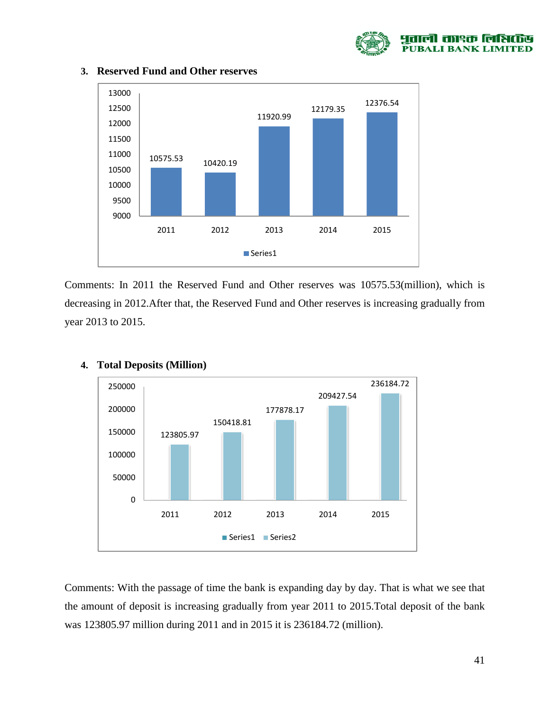



#### **3. Reserved Fund and Other reserves**

Comments: In 2011 the Reserved Fund and Other reserves was 10575.53(million), which is decreasing in 2012.After that, the Reserved Fund and Other reserves is increasing gradually from year 2013 to 2015.



#### **4. Total Deposits (Million)**

Comments: With the passage of time the bank is expanding day by day. That is what we see that the amount of deposit is increasing gradually from year 2011 to 2015.Total deposit of the bank was 123805.97 million during 2011 and in 2015 it is 236184.72 (million).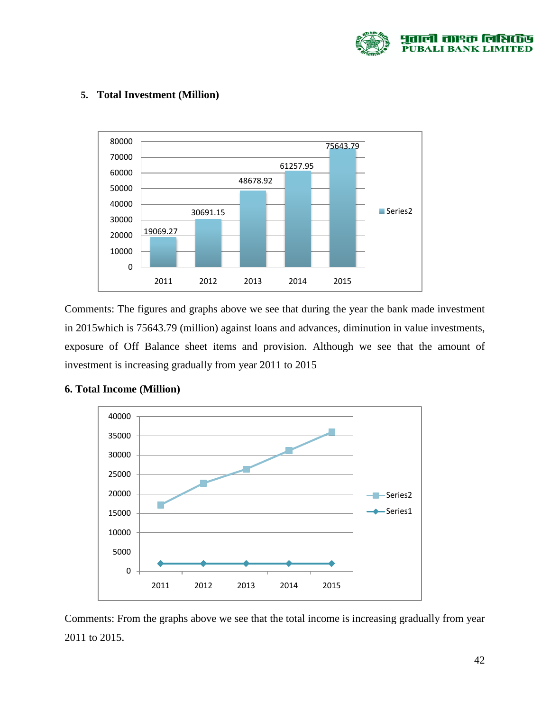



#### **5. Total Investment (Million)**

Comments: The figures and graphs above we see that during the year the bank made investment in 2015which is 75643.79 (million) against loans and advances, diminution in value investments, exposure of Off Balance sheet items and provision. Although we see that the amount of investment is increasing gradually from year 2011 to 2015



#### **6. Total Income (Million)**

Comments: From the graphs above we see that the total income is increasing gradually from year 2011 to 2015.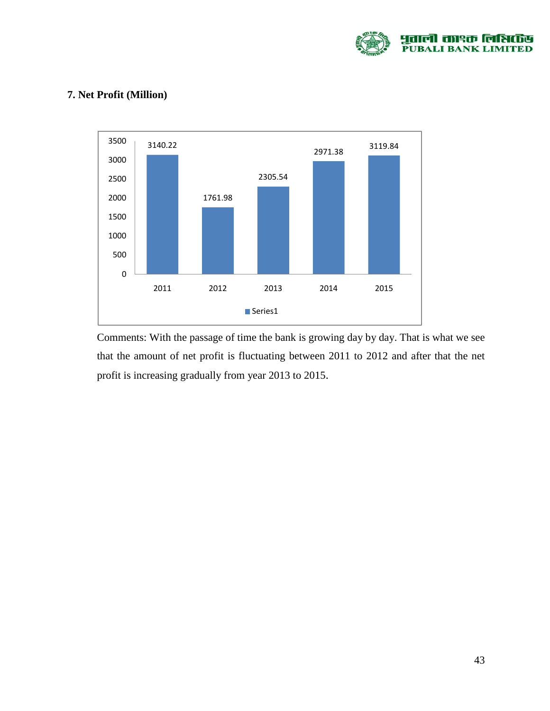

### **7. Net Profit (Million)**



Comments: With the passage of time the bank is growing day by day. That is what we see that the amount of net profit is fluctuating between 2011 to 2012 and after that the net profit is increasing gradually from year 2013 to 2015.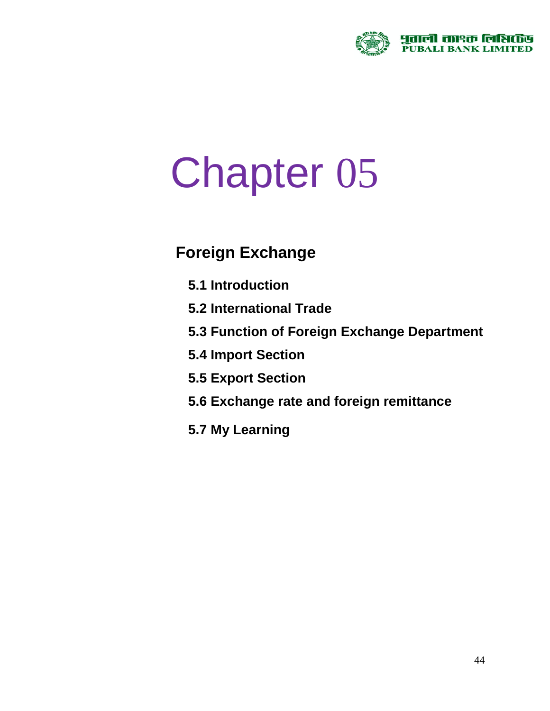

# Chapter 05

# **Foreign Exchange**

- **5.1 Introduction**
- **5.2 International Trade**
- **5.3 Function of Foreign Exchange Department**
- **5.4 Import Section**
- **5.5 Export Section**
- **5.6 Exchange rate and foreign remittance**
- **5.7 My Learning**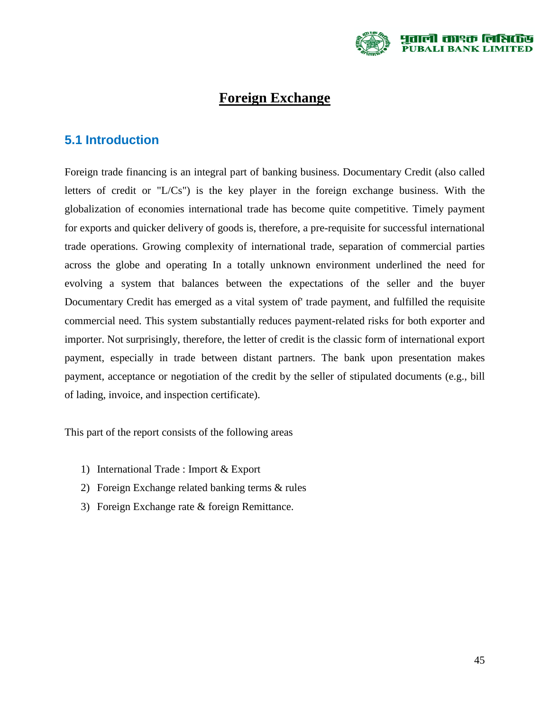

# **Foreign Exchange**

# **5.1 Introduction**

Foreign trade financing is an integral part of banking business. Documentary Credit (also called letters of credit or "L/Cs") is the key player in the foreign exchange business. With the globalization of economies international trade has become quite competitive. Timely payment for exports and quicker delivery of goods is, therefore, a pre-requisite for successful international trade operations. Growing complexity of international trade, separation of commercial parties across the globe and operating In a totally unknown environment underlined the need for evolving a system that balances between the expectations of the seller and the buyer Documentary Credit has emerged as a vital system of' trade payment, and fulfilled the requisite commercial need. This system substantially reduces payment-related risks for both exporter and importer. Not surprisingly, therefore, the letter of credit is the classic form of international export payment, especially in trade between distant partners. The bank upon presentation makes payment, acceptance or negotiation of the credit by the seller of stipulated documents (e.g., bill of lading, invoice, and inspection certificate).

This part of the report consists of the following areas

- 1) International Trade : Import & Export
- 2) Foreign Exchange related banking terms & rules
- 3) Foreign Exchange rate & foreign Remittance.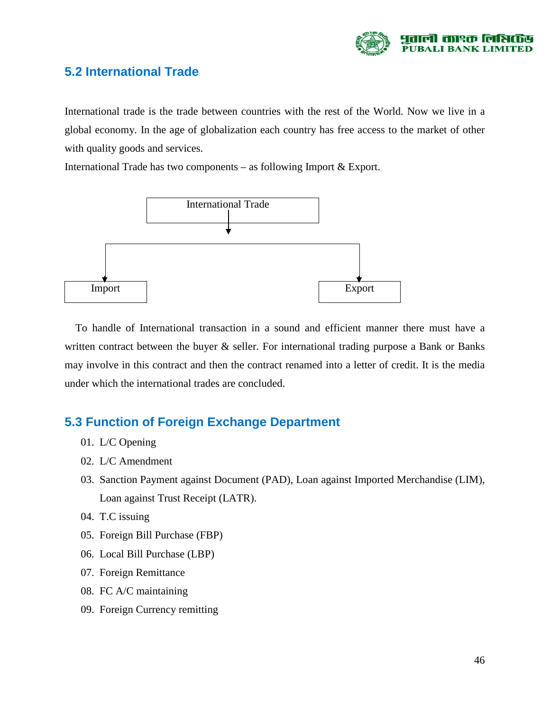

# **5.2 International Trade**

International trade is the trade between countries with the rest of the World. Now we live in a global economy. In the age of globalization each country has free access to the market of other with quality goods and services.

International Trade has two components – as following Import & Export.



 To handle of International transaction in a sound and efficient manner there must have a written contract between the buyer  $\&$  seller. For international trading purpose a Bank or Banks may involve in this contract and then the contract renamed into a letter of credit. It is the media under which the international trades are concluded.

# **5.3 Function of Foreign Exchange Department**

- 01. L/C Opening
- 02. L/C Amendment
- 03. Sanction Payment against Document (PAD), Loan against Imported Merchandise (LIM), Loan against Trust Receipt (LATR).
- 04. T.C issuing
- 05. Foreign Bill Purchase (FBP)
- 06. Local Bill Purchase (LBP)
- 07. Foreign Remittance
- 08. FC A/C maintaining
- 09. Foreign Currency remitting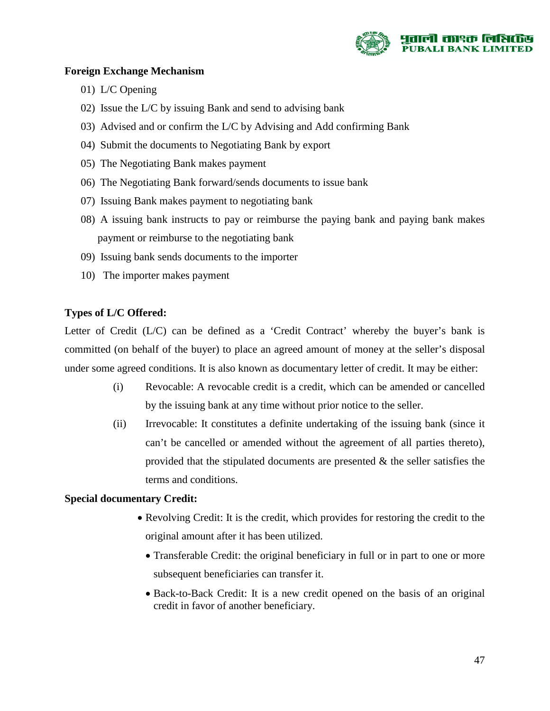

#### **Foreign Exchange Mechanism**

- 01) L/C Opening
- 02) Issue the L/C by issuing Bank and send to advising bank
- 03) Advised and or confirm the L/C by Advising and Add confirming Bank
- 04) Submit the documents to Negotiating Bank by export
- 05) The Negotiating Bank makes payment
- 06) The Negotiating Bank forward/sends documents to issue bank
- 07) Issuing Bank makes payment to negotiating bank
- 08) A issuing bank instructs to pay or reimburse the paying bank and paying bank makes payment or reimburse to the negotiating bank
- 09) Issuing bank sends documents to the importer
- 10) The importer makes payment

#### **Types of L/C Offered:**

Letter of Credit (L/C) can be defined as a 'Credit Contract' whereby the buyer's bank is committed (on behalf of the buyer) to place an agreed amount of money at the seller's disposal under some agreed conditions. It is also known as documentary letter of credit. It may be either:

- (i) Revocable: A revocable credit is a credit, which can be amended or cancelled by the issuing bank at any time without prior notice to the seller.
- (ii) Irrevocable: It constitutes a definite undertaking of the issuing bank (since it can't be cancelled or amended without the agreement of all parties thereto), provided that the stipulated documents are presented & the seller satisfies the terms and conditions.

#### **Special documentary Credit:**

- Revolving Credit: It is the credit, which provides for restoring the credit to the original amount after it has been utilized.
	- Transferable Credit: the original beneficiary in full or in part to one or more subsequent beneficiaries can transfer it.
	- Back-to-Back Credit: It is a new credit opened on the basis of an original credit in favor of another beneficiary.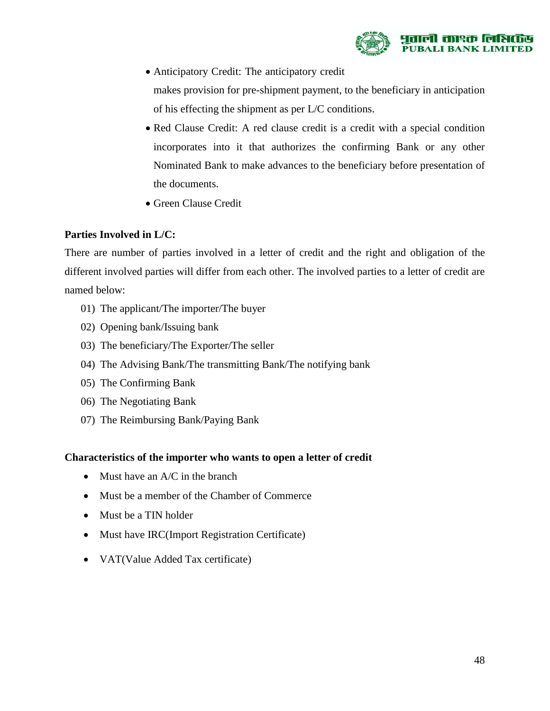

• Anticipatory Credit: The anticipatory credit

makes provision for pre-shipment payment, to the beneficiary in anticipation of his effecting the shipment as per L/C conditions.

- Red Clause Credit: A red clause credit is a credit with a special condition incorporates into it that authorizes the confirming Bank or any other Nominated Bank to make advances to the beneficiary before presentation of the documents.
- Green Clause Credit

#### **Parties Involved in L/C:**

There are number of parties involved in a letter of credit and the right and obligation of the different involved parties will differ from each other. The involved parties to a letter of credit are named below:

- 01) The applicant/The importer/The buyer
- 02) Opening bank/Issuing bank
- 03) The beneficiary/The Exporter/The seller
- 04) The Advising Bank/The transmitting Bank/The notifying bank
- 05) The Confirming Bank
- 06) The Negotiating Bank
- 07) The Reimbursing Bank/Paying Bank

#### **Characteristics of the importer who wants to open a letter of credit**

- Must have an A/C in the branch
- Must be a member of the Chamber of Commerce
- Must be a TIN holder
- Must have IRC(Import Registration Certificate)
- VAT(Value Added Tax certificate)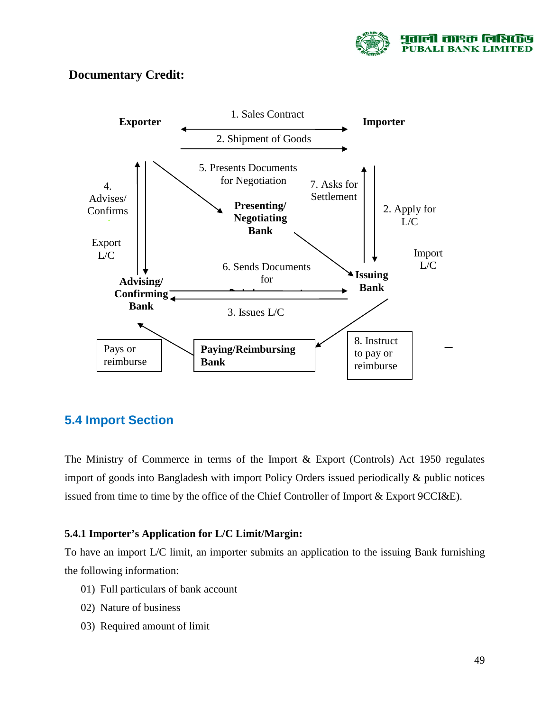

## **Documentary Credit:**



# **5.4 Import Section**

The Ministry of Commerce in terms of the Import & Export (Controls) Act 1950 regulates import of goods into Bangladesh with import Policy Orders issued periodically & public notices issued from time to time by the office of the Chief Controller of Import & Export 9CCI&E).

#### **5.4.1 Importer's Application for L/C Limit/Margin:**

To have an import L/C limit, an importer submits an application to the issuing Bank furnishing the following information:

- 01) Full particulars of bank account
- 02) Nature of business
- 03) Required amount of limit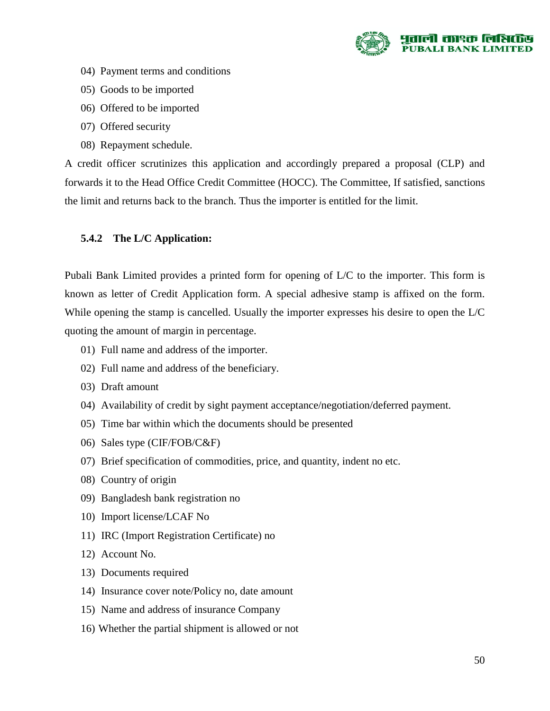

- 04) Payment terms and conditions
- 05) Goods to be imported
- 06) Offered to be imported
- 07) Offered security
- 08) Repayment schedule.

A credit officer scrutinizes this application and accordingly prepared a proposal (CLP) and forwards it to the Head Office Credit Committee (HOCC). The Committee, If satisfied, sanctions the limit and returns back to the branch. Thus the importer is entitled for the limit.

#### **5.4.2 The L/C Application:**

Pubali Bank Limited provides a printed form for opening of L/C to the importer. This form is known as letter of Credit Application form. A special adhesive stamp is affixed on the form. While opening the stamp is cancelled. Usually the importer expresses his desire to open the L/C quoting the amount of margin in percentage.

- 01) Full name and address of the importer.
- 02) Full name and address of the beneficiary.
- 03) Draft amount
- 04) Availability of credit by sight payment acceptance/negotiation/deferred payment.
- 05) Time bar within which the documents should be presented
- 06) Sales type (CIF/FOB/C&F)
- 07) Brief specification of commodities, price, and quantity, indent no etc.
- 08) Country of origin
- 09) Bangladesh bank registration no
- 10) Import license/LCAF No
- 11) IRC (Import Registration Certificate) no
- 12) Account No.
- 13) Documents required
- 14) Insurance cover note/Policy no, date amount
- 15) Name and address of insurance Company
- 16) Whether the partial shipment is allowed or not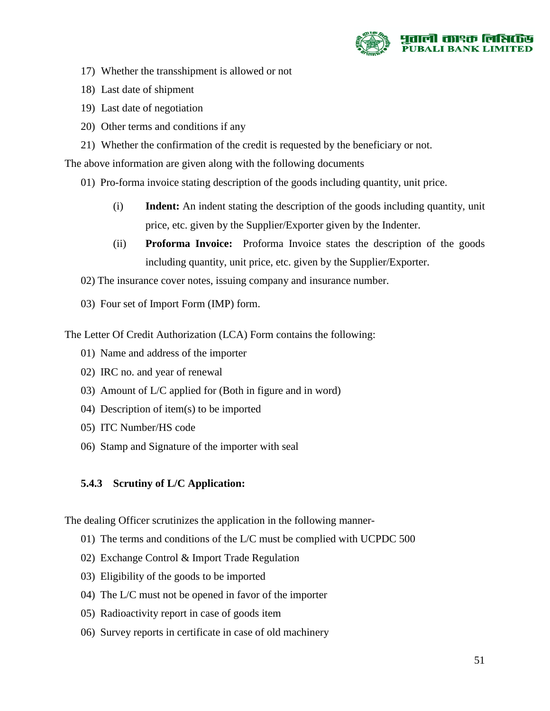

- 17) Whether the transshipment is allowed or not
- 18) Last date of shipment
- 19) Last date of negotiation
- 20) Other terms and conditions if any
- 21) Whether the confirmation of the credit is requested by the beneficiary or not.

The above information are given along with the following documents

- 01) Pro-forma invoice stating description of the goods including quantity, unit price.
	- (i) **Indent:** An indent stating the description of the goods including quantity, unit price, etc. given by the Supplier/Exporter given by the Indenter.
	- (ii) **Proforma Invoice:** Proforma Invoice states the description of the goods including quantity, unit price, etc. given by the Supplier/Exporter.
- 02) The insurance cover notes, issuing company and insurance number.
- 03) Four set of Import Form (IMP) form.

The Letter Of Credit Authorization (LCA) Form contains the following:

- 01) Name and address of the importer
- 02) IRC no. and year of renewal
- 03) Amount of L/C applied for (Both in figure and in word)
- 04) Description of item(s) to be imported
- 05) ITC Number/HS code
- 06) Stamp and Signature of the importer with seal

#### **5.4.3 Scrutiny of L/C Application:**

The dealing Officer scrutinizes the application in the following manner-

- 01) The terms and conditions of the L/C must be complied with UCPDC 500
- 02) Exchange Control & Import Trade Regulation
- 03) Eligibility of the goods to be imported
- 04) The L/C must not be opened in favor of the importer
- 05) Radioactivity report in case of goods item
- 06) Survey reports in certificate in case of old machinery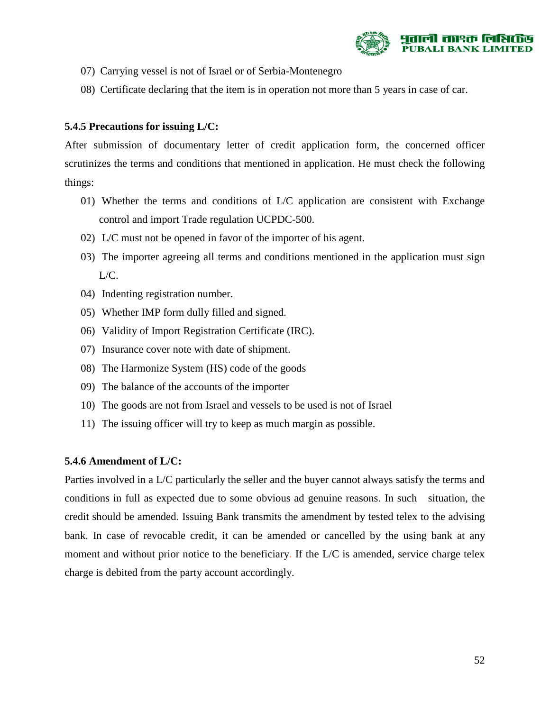

- 07) Carrying vessel is not of Israel or of Serbia-Montenegro
- 08) Certificate declaring that the item is in operation not more than 5 years in case of car.

#### **5.4.5 Precautions for issuing L/C:**

After submission of documentary letter of credit application form, the concerned officer scrutinizes the terms and conditions that mentioned in application. He must check the following things:

- 01) Whether the terms and conditions of L/C application are consistent with Exchange control and import Trade regulation UCPDC-500.
- 02) L/C must not be opened in favor of the importer of his agent.
- 03) The importer agreeing all terms and conditions mentioned in the application must sign L/C.
- 04) Indenting registration number.
- 05) Whether IMP form dully filled and signed.
- 06) Validity of Import Registration Certificate (IRC).
- 07) Insurance cover note with date of shipment.
- 08) The Harmonize System (HS) code of the goods
- 09) The balance of the accounts of the importer
- 10) The goods are not from Israel and vessels to be used is not of Israel
- 11) The issuing officer will try to keep as much margin as possible.

#### **5.4.6 Amendment of L/C:**

Parties involved in a L/C particularly the seller and the buyer cannot always satisfy the terms and conditions in full as expected due to some obvious ad genuine reasons. In such situation, the credit should be amended. Issuing Bank transmits the amendment by tested telex to the advising bank. In case of revocable credit, it can be amended or cancelled by the using bank at any moment and without prior notice to the beneficiary. If the L/C is amended, service charge telex charge is debited from the party account accordingly.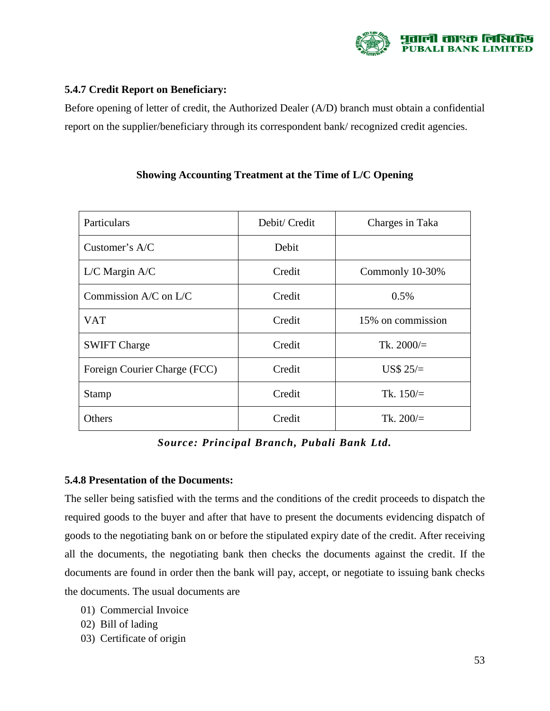

#### **5.4.7 Credit Report on Beneficiary:**

Before opening of letter of credit, the Authorized Dealer (A/D) branch must obtain a confidential report on the supplier/beneficiary through its correspondent bank/ recognized credit agencies.

| Particulars                  | Debit/ Credit | Charges in Taka   |  |
|------------------------------|---------------|-------------------|--|
| Customer's $A/C$             | Debit         |                   |  |
| $L/C$ Margin A/C             | Credit        | Commonly 10-30%   |  |
| Commission $A/C$ on $L/C$    | Credit        | 0.5%              |  |
| <b>VAT</b>                   | Credit        | 15% on commission |  |
| <b>SWIFT Charge</b>          | Credit        | Tk. $2000/$ =     |  |
| Foreign Courier Charge (FCC) | Credit        | US\$ $25/=$       |  |
| <b>Stamp</b>                 | Credit        | Tk. $150/$        |  |
| Others                       | Credit        | Tk. $200/$        |  |

#### **Showing Accounting Treatment at the Time of L/C Opening**

*Source: Principal Branch, Pubali Bank Ltd.*

#### **5.4.8 Presentation of the Documents:**

The seller being satisfied with the terms and the conditions of the credit proceeds to dispatch the required goods to the buyer and after that have to present the documents evidencing dispatch of goods to the negotiating bank on or before the stipulated expiry date of the credit. After receiving all the documents, the negotiating bank then checks the documents against the credit. If the documents are found in order then the bank will pay, accept, or negotiate to issuing bank checks the documents. The usual documents are

- 01) Commercial Invoice
- 02) Bill of lading
- 03) Certificate of origin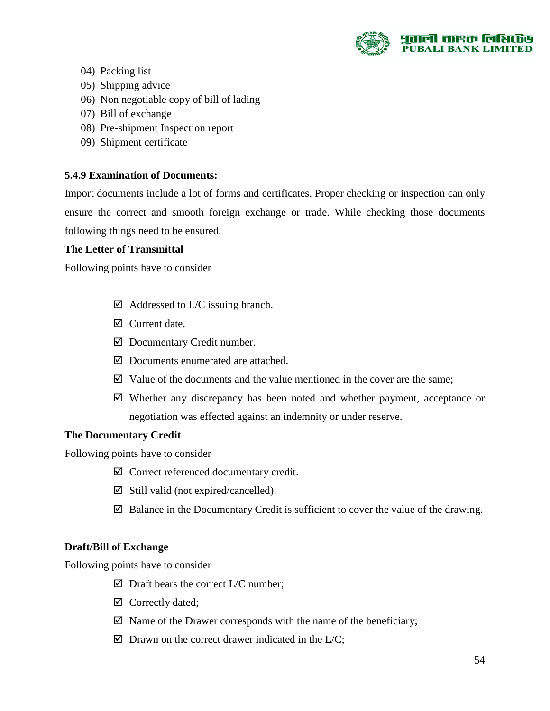

- 04) Packing list
- 05) Shipping advice
- 06) Non negotiable copy of bill of lading
- 07) Bill of exchange
- 08) Pre-shipment Inspection report
- 09) Shipment certificate

#### **5.4.9 Examination of Documents:**

Import documents include a lot of forms and certificates. Proper checking or inspection can only ensure the correct and smooth foreign exchange or trade. While checking those documents following things need to be ensured.

#### **The Letter of Transmittal**

Following points have to consider

- $\boxtimes$  Addressed to L/C issuing branch.
- Current date.
- $\boxtimes$  Documentary Credit number.
- $\boxtimes$  Documents enumerated are attached.
- $\boxtimes$  Value of the documents and the value mentioned in the cover are the same;
- $\boxtimes$  Whether any discrepancy has been noted and whether payment, acceptance or negotiation was effected against an indemnity or under reserve.

#### **The Documentary Credit**

Following points have to consider

- Correct referenced documentary credit.
- $\boxtimes$  Still valid (not expired/cancelled).
- $\boxtimes$  Balance in the Documentary Credit is sufficient to cover the value of the drawing.

#### **Draft/Bill of Exchange**

Following points have to consider

- $\boxtimes$  Draft bears the correct L/C number;
- $\boxtimes$  Correctly dated;
- $\boxtimes$  Name of the Drawer corresponds with the name of the beneficiary;
- $\boxtimes$  Drawn on the correct drawer indicated in the L/C;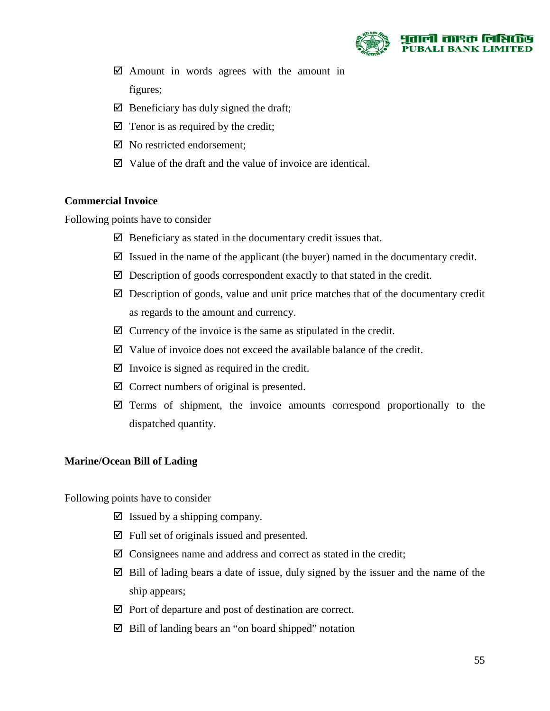

- $\boxtimes$  Amount in words agrees with the amount in figures;
- $\boxtimes$  Beneficiary has duly signed the draft;
- $\boxtimes$  Tenor is as required by the credit;
- $\boxtimes$  No restricted endorsement:
- $\boxtimes$  Value of the draft and the value of invoice are identical.

#### **Commercial Invoice**

Following points have to consider

- $\boxtimes$  Beneficiary as stated in the documentary credit issues that.
- $\boxtimes$  Issued in the name of the applicant (the buyer) named in the documentary credit.
- $\boxtimes$  Description of goods correspondent exactly to that stated in the credit.
- $\boxtimes$  Description of goods, value and unit price matches that of the documentary credit as regards to the amount and currency.
- $\boxtimes$  Currency of the invoice is the same as stipulated in the credit.
- $\boxtimes$  Value of invoice does not exceed the available balance of the credit.
- $\boxtimes$  Invoice is signed as required in the credit.
- $\boxtimes$  Correct numbers of original is presented.
- $\boxtimes$  Terms of shipment, the invoice amounts correspond proportionally to the dispatched quantity.

#### **Marine/Ocean Bill of Lading**

Following points have to consider

- $\boxtimes$  Issued by a shipping company.
- $\boxtimes$  Full set of originals issued and presented.
- $\boxtimes$  Consignees name and address and correct as stated in the credit;
- $\boxtimes$  Bill of lading bears a date of issue, duly signed by the issuer and the name of the ship appears;
- $\boxtimes$  Port of departure and post of destination are correct.
- Bill of landing bears an "on board shipped" notation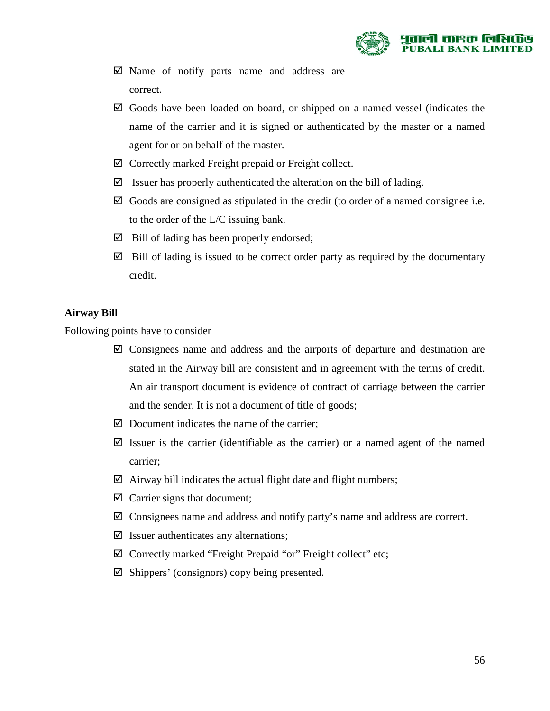

- $\boxtimes$  Name of notify parts name and address are correct.
- $\boxtimes$  Goods have been loaded on board, or shipped on a named vessel (indicates the name of the carrier and it is signed or authenticated by the master or a named agent for or on behalf of the master.
- $\boxtimes$  Correctly marked Freight prepaid or Freight collect.
- $\boxtimes$  Issuer has properly authenticated the alteration on the bill of lading.
- $\boxtimes$  Goods are consigned as stipulated in the credit (to order of a named consignee i.e. to the order of the L/C issuing bank.
- $\boxtimes$  Bill of lading has been properly endorsed;
- $\boxtimes$  Bill of lading is issued to be correct order party as required by the documentary credit.

#### **Airway Bill**

Following points have to consider

- $\boxtimes$  Consignees name and address and the airports of departure and destination are stated in the Airway bill are consistent and in agreement with the terms of credit. An air transport document is evidence of contract of carriage between the carrier and the sender. It is not a document of title of goods;
- $\boxtimes$  Document indicates the name of the carrier;
- $\boxtimes$  Issuer is the carrier (identifiable as the carrier) or a named agent of the named carrier;
- $\boxtimes$  Airway bill indicates the actual flight date and flight numbers;
- $\boxtimes$  Carrier signs that document;
- $\boxtimes$  Consignees name and address and notify party's name and address are correct.
- $\boxtimes$  Issuer authenticates any alternations;
- $\boxtimes$  Correctly marked "Freight Prepaid "or" Freight collect" etc;
- $\boxtimes$  Shippers' (consignors) copy being presented.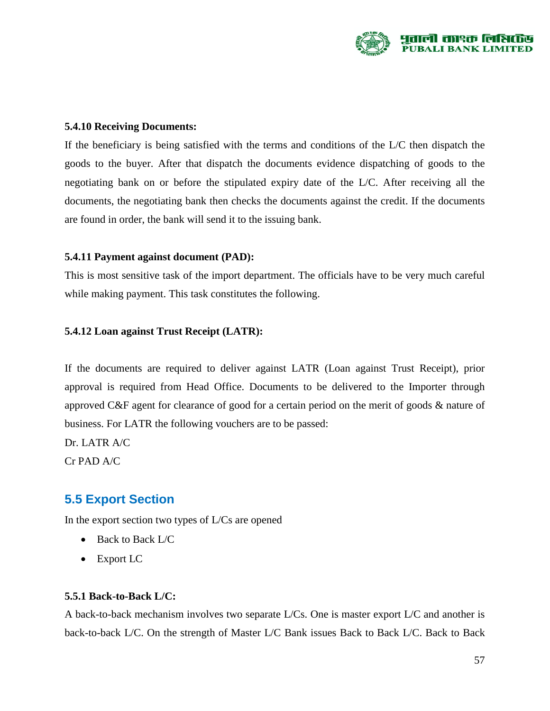

#### **5.4.10 Receiving Documents:**

If the beneficiary is being satisfied with the terms and conditions of the L/C then dispatch the goods to the buyer. After that dispatch the documents evidence dispatching of goods to the negotiating bank on or before the stipulated expiry date of the L/C. After receiving all the documents, the negotiating bank then checks the documents against the credit. If the documents are found in order, the bank will send it to the issuing bank.

#### **5.4.11 Payment against document (PAD):**

This is most sensitive task of the import department. The officials have to be very much careful while making payment. This task constitutes the following.

#### **5.4.12 Loan against Trust Receipt (LATR):**

If the documents are required to deliver against LATR (Loan against Trust Receipt), prior approval is required from Head Office. Documents to be delivered to the Importer through approved C&F agent for clearance of good for a certain period on the merit of goods & nature of business. For LATR the following vouchers are to be passed:

Dr. LATR A/C Cr PAD A/C

# **5.5 Export Section**

In the export section two types of L/Cs are opened

- Back to Back L/C
- Export LC

#### **5.5.1 Back-to-Back L/C:**

A back-to-back mechanism involves two separate L/Cs. One is master export L/C and another is back-to-back L/C. On the strength of Master L/C Bank issues Back to Back L/C. Back to Back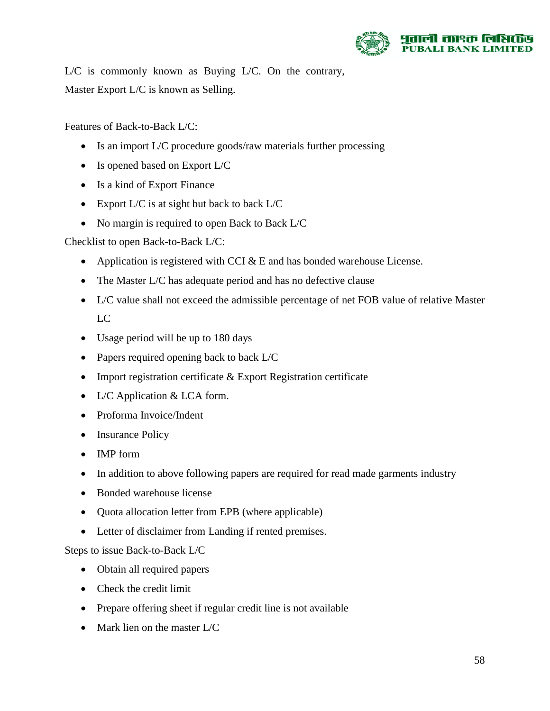

L/C is commonly known as Buying L/C. On the contrary, Master Export L/C is known as Selling.

Features of Back-to-Back L/C:

- Is an import L/C procedure goods/raw materials further processing
- Is opened based on Export L/C
- Is a kind of Export Finance
- Export L/C is at sight but back to back L/C
- No margin is required to open Back to Back L/C

Checklist to open Back-to-Back L/C:

- Application is registered with CCI  $& E$  and has bonded warehouse License.
- The Master L/C has adequate period and has no defective clause
- L/C value shall not exceed the admissible percentage of net FOB value of relative Master LC
- Usage period will be up to 180 days
- Papers required opening back to back L/C
- Import registration certificate & Export Registration certificate
- L/C Application & LCA form.
- Proforma Invoice/Indent
- Insurance Policy
- IMP form
- In addition to above following papers are required for read made garments industry
- Bonded warehouse license
- Quota allocation letter from EPB (where applicable)
- Letter of disclaimer from Landing if rented premises.

Steps to issue Back-to-Back L/C

- Obtain all required papers
- Check the credit limit
- Prepare offering sheet if regular credit line is not available
- Mark lien on the master L/C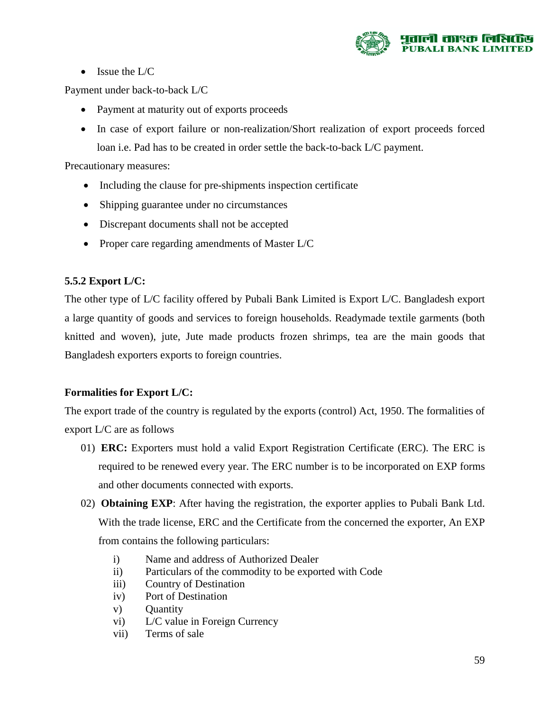

• Issue the  $L/C$ 

Payment under back-to-back L/C

- Payment at maturity out of exports proceeds
- In case of export failure or non-realization/Short realization of export proceeds forced loan i.e. Pad has to be created in order settle the back-to-back L/C payment.

Precautionary measures:

- Including the clause for pre-shipments inspection certificate
- Shipping guarantee under no circumstances
- Discrepant documents shall not be accepted
- Proper care regarding amendments of Master L/C

#### **5.5.2 Export L/C:**

The other type of L/C facility offered by Pubali Bank Limited is Export L/C. Bangladesh export a large quantity of goods and services to foreign households. Readymade textile garments (both knitted and woven), jute, Jute made products frozen shrimps, tea are the main goods that Bangladesh exporters exports to foreign countries.

#### **Formalities for Export L/C:**

The export trade of the country is regulated by the exports (control) Act, 1950. The formalities of export L/C are as follows

- 01) **ERC:** Exporters must hold a valid Export Registration Certificate (ERC). The ERC is required to be renewed every year. The ERC number is to be incorporated on EXP forms and other documents connected with exports.
- 02) **Obtaining EXP**: After having the registration, the exporter applies to Pubali Bank Ltd. With the trade license, ERC and the Certificate from the concerned the exporter, An EXP from contains the following particulars:
	- i) Name and address of Authorized Dealer
	- ii) Particulars of the commodity to be exported with Code
	- iii) Country of Destination
	- iv) Port of Destination
	- v) Quantity
	- vi) L/C value in Foreign Currency
	- vii) Terms of sale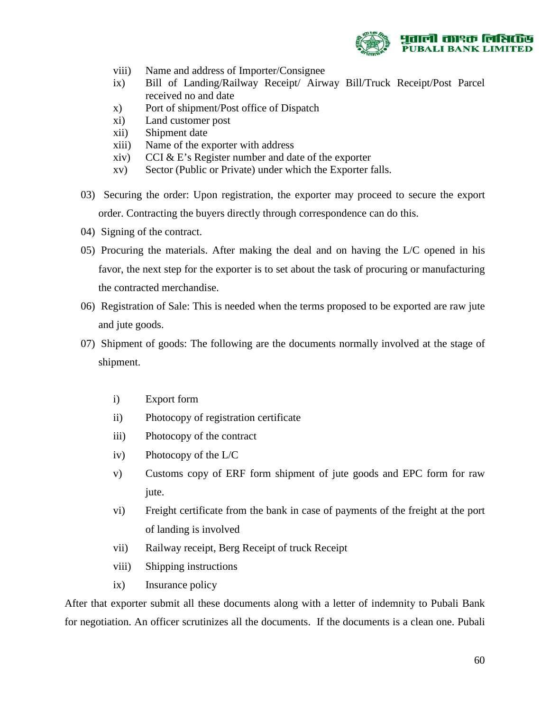

- viii) Name and address of Importer/Consignee
- ix) Bill of Landing/Railway Receipt/ Airway Bill/Truck Receipt/Post Parcel received no and date
- x) Port of shipment/Post office of Dispatch
- xi) Land customer post
- xii) Shipment date
- xiii) Name of the exporter with address
- xiv) CCI  $&\&$  E's Register number and date of the exporter
- xv) Sector (Public or Private) under which the Exporter falls.
- 03) Securing the order: Upon registration, the exporter may proceed to secure the export order. Contracting the buyers directly through correspondence can do this.
- 04) Signing of the contract.
- 05) Procuring the materials. After making the deal and on having the L/C opened in his favor, the next step for the exporter is to set about the task of procuring or manufacturing the contracted merchandise.
- 06) Registration of Sale: This is needed when the terms proposed to be exported are raw jute and jute goods.
- 07) Shipment of goods: The following are the documents normally involved at the stage of shipment.
	- i) Export form
	- ii) Photocopy of registration certificate
	- iii) Photocopy of the contract
	- iv) Photocopy of the L/C
	- v) Customs copy of ERF form shipment of jute goods and EPC form for raw jute.
	- vi) Freight certificate from the bank in case of payments of the freight at the port of landing is involved
	- vii) Railway receipt, Berg Receipt of truck Receipt
	- viii) Shipping instructions
	- ix) Insurance policy

After that exporter submit all these documents along with a letter of indemnity to Pubali Bank for negotiation. An officer scrutinizes all the documents. If the documents is a clean one. Pubali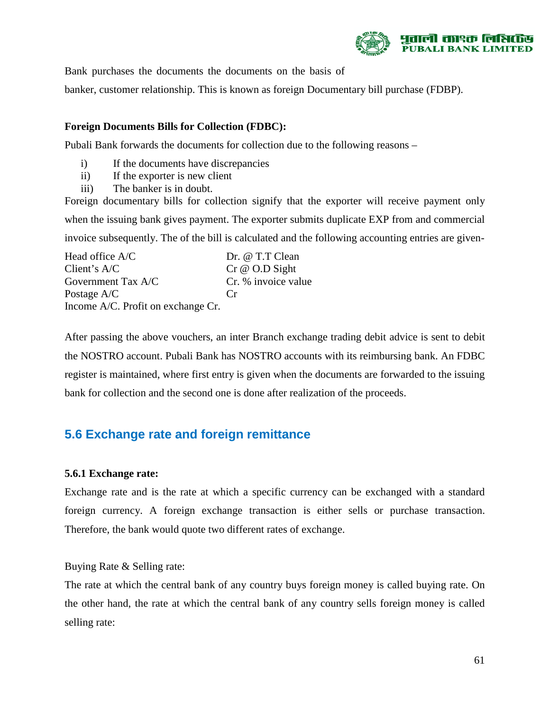

Bank purchases the documents the documents on the basis of

banker, customer relationship. This is known as foreign Documentary bill purchase (FDBP).

#### **Foreign Documents Bills for Collection (FDBC):**

Pubali Bank forwards the documents for collection due to the following reasons –

- i) If the documents have discrepancies
- ii) If the exporter is new client
- iii) The banker is in doubt.

Foreign documentary bills for collection signify that the exporter will receive payment only when the issuing bank gives payment. The exporter submits duplicate EXP from and commercial invoice subsequently. The of the bill is calculated and the following accounting entries are given-

Head office A/C Dr. @ T.T Clean Client's A/C Cr  $\omega$  O.D Sight Government Tax A/C Cr. % invoice value Postage A/C Cr Income A/C. Profit on exchange Cr.

After passing the above vouchers, an inter Branch exchange trading debit advice is sent to debit the NOSTRO account. Pubali Bank has NOSTRO accounts with its reimbursing bank. An FDBC register is maintained, where first entry is given when the documents are forwarded to the issuing bank for collection and the second one is done after realization of the proceeds.

# **5.6 Exchange rate and foreign remittance**

#### **5.6.1 Exchange rate:**

Exchange rate and is the rate at which a specific currency can be exchanged with a standard foreign currency. A foreign exchange transaction is either sells or purchase transaction. Therefore, the bank would quote two different rates of exchange.

Buying Rate & Selling rate:

The rate at which the central bank of any country buys foreign money is called buying rate. On the other hand, the rate at which the central bank of any country sells foreign money is called selling rate: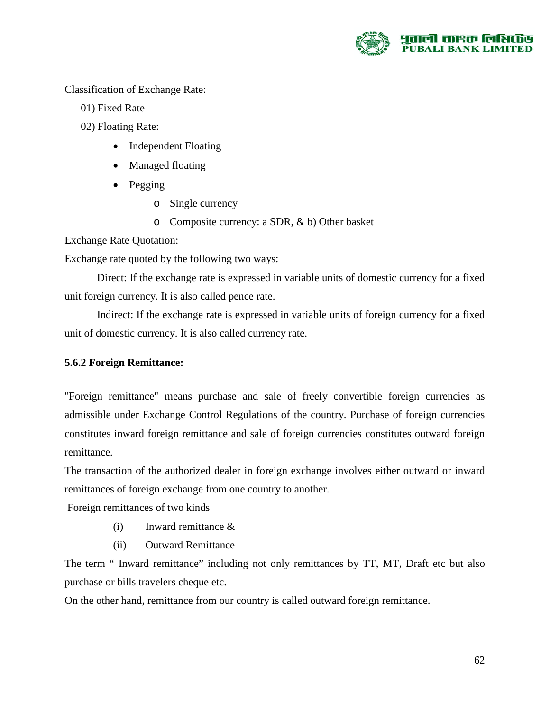

Classification of Exchange Rate:

- 01) Fixed Rate
- 02) Floating Rate:
	- Independent Floating
	- Managed floating
	- Pegging
		- o Single currency
		- o Composite currency: a SDR, & b) Other basket

Exchange Rate Quotation:

Exchange rate quoted by the following two ways:

Direct: If the exchange rate is expressed in variable units of domestic currency for a fixed unit foreign currency. It is also called pence rate.

Indirect: If the exchange rate is expressed in variable units of foreign currency for a fixed unit of domestic currency. It is also called currency rate.

#### **5.6.2 Foreign Remittance:**

"Foreign remittance" means purchase and sale of freely convertible foreign currencies as admissible under Exchange Control Regulations of the country. Purchase of foreign currencies constitutes inward foreign remittance and sale of foreign currencies constitutes outward foreign remittance.

The transaction of the authorized dealer in foreign exchange involves either outward or inward remittances of foreign exchange from one country to another.

Foreign remittances of two kinds

- (i) Inward remittance &
- (ii) Outward Remittance

The term " Inward remittance" including not only remittances by TT, MT, Draft etc but also purchase or bills travelers cheque etc.

On the other hand, remittance from our country is called outward foreign remittance.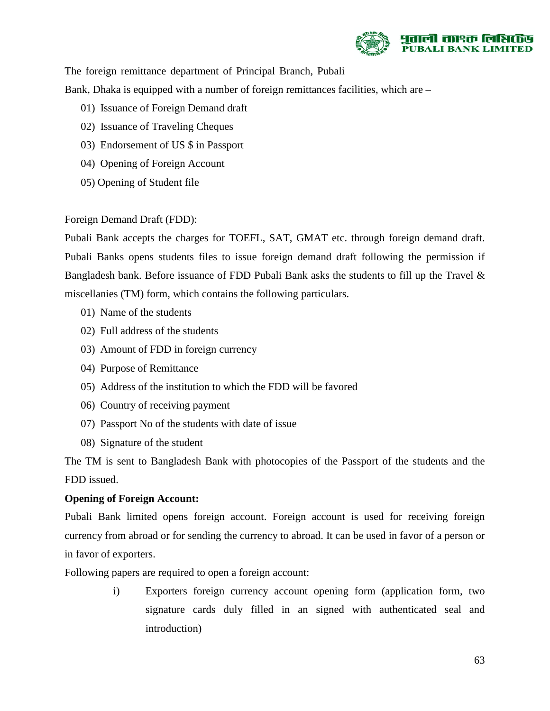

The foreign remittance department of Principal Branch, Pubali

Bank, Dhaka is equipped with a number of foreign remittances facilities, which are –

- 01) Issuance of Foreign Demand draft
- 02) Issuance of Traveling Cheques
- 03) Endorsement of US \$ in Passport
- 04) Opening of Foreign Account
- 05) Opening of Student file

#### Foreign Demand Draft (FDD):

Pubali Bank accepts the charges for TOEFL, SAT, GMAT etc. through foreign demand draft. Pubali Banks opens students files to issue foreign demand draft following the permission if Bangladesh bank. Before issuance of FDD Pubali Bank asks the students to fill up the Travel & miscellanies (TM) form, which contains the following particulars.

- 01) Name of the students
- 02) Full address of the students
- 03) Amount of FDD in foreign currency
- 04) Purpose of Remittance
- 05) Address of the institution to which the FDD will be favored
- 06) Country of receiving payment
- 07) Passport No of the students with date of issue
- 08) Signature of the student

The TM is sent to Bangladesh Bank with photocopies of the Passport of the students and the FDD issued.

#### **Opening of Foreign Account:**

Pubali Bank limited opens foreign account. Foreign account is used for receiving foreign currency from abroad or for sending the currency to abroad. It can be used in favor of a person or in favor of exporters.

Following papers are required to open a foreign account:

i) Exporters foreign currency account opening form (application form, two signature cards duly filled in an signed with authenticated seal and introduction)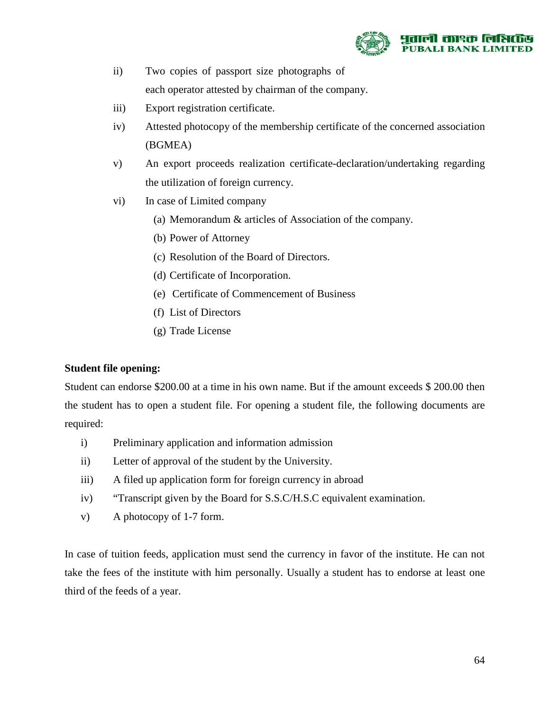

- ii) Two copies of passport size photographs of each operator attested by chairman of the company.
- iii) Export registration certificate.
- iv) Attested photocopy of the membership certificate of the concerned association (BGMEA)
- v) An export proceeds realization certificate-declaration/undertaking regarding the utilization of foreign currency.
- vi) In case of Limited company
	- (a) Memorandum & articles of Association of the company.
	- (b) Power of Attorney
	- (c) Resolution of the Board of Directors.
	- (d) Certificate of Incorporation.
	- (e) Certificate of Commencement of Business
	- (f) List of Directors
	- (g) Trade License

#### **Student file opening:**

Student can endorse \$200.00 at a time in his own name. But if the amount exceeds \$ 200.00 then the student has to open a student file. For opening a student file, the following documents are required:

- i) Preliminary application and information admission
- ii) Letter of approval of the student by the University.
- iii) A filed up application form for foreign currency in abroad
- iv) "Transcript given by the Board for S.S.C/H.S.C equivalent examination.
- v) A photocopy of 1-7 form.

In case of tuition feeds, application must send the currency in favor of the institute. He can not take the fees of the institute with him personally. Usually a student has to endorse at least one third of the feeds of a year.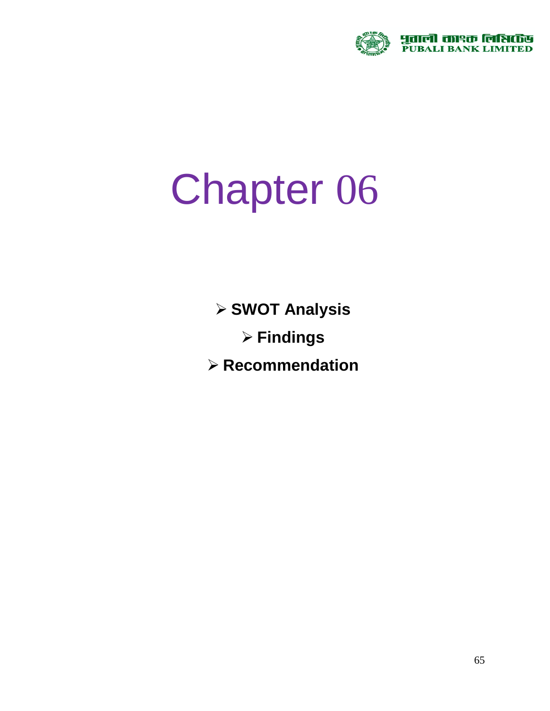

# Chapter 06

**SWOT Analysis**

**Findings**

**Recommendation**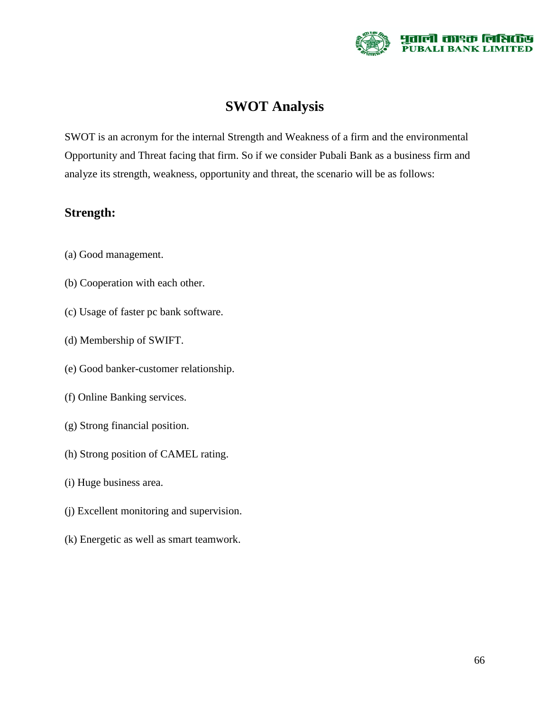

## **SWOT Analysis**

SWOT is an acronym for the internal Strength and Weakness of a firm and the environmental Opportunity and Threat facing that firm. So if we consider Pubali Bank as a business firm and analyze its strength, weakness, opportunity and threat, the scenario will be as follows:

#### **Strength:**

- (a) Good management.
- (b) Cooperation with each other.
- (c) Usage of faster pc bank software.
- (d) Membership of SWIFT.
- (e) Good banker-customer relationship.
- (f) Online Banking services.
- (g) Strong financial position.
- (h) Strong position of CAMEL rating.
- (i) Huge business area.
- (j) Excellent monitoring and supervision.
- (k) Energetic as well as smart teamwork.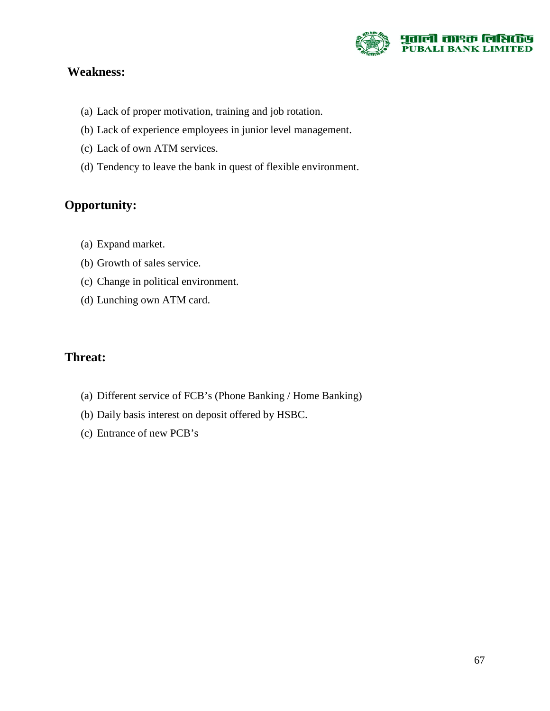

## **Weakness:**

- (a) Lack of proper motivation, training and job rotation.
- (b) Lack of experience employees in junior level management.
- (c) Lack of own ATM services.
- (d) Tendency to leave the bank in quest of flexible environment.

## **Opportunity:**

- (a) Expand market.
- (b) Growth of sales service.
- (c) Change in political environment.
- (d) Lunching own ATM card.

### **Threat:**

- (a) Different service of FCB's (Phone Banking / Home Banking)
- (b) Daily basis interest on deposit offered by HSBC.
- (c) Entrance of new PCB's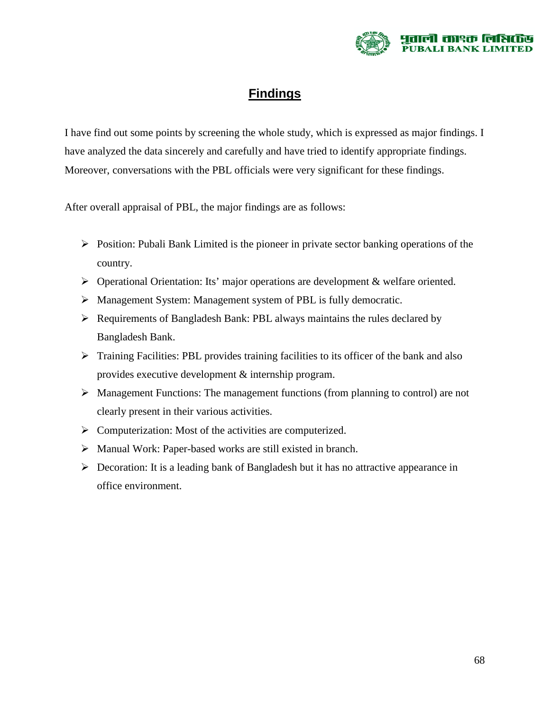

## **Findings**

I have find out some points by screening the whole study, which is expressed as major findings. I have analyzed the data sincerely and carefully and have tried to identify appropriate findings. Moreover, conversations with the PBL officials were very significant for these findings.

After overall appraisal of PBL, the major findings are as follows:

- $\triangleright$  Position: Pubali Bank Limited is the pioneer in private sector banking operations of the country.
- Operational Orientation: Its' major operations are development & welfare oriented.
- Management System: Management system of PBL is fully democratic.
- $\triangleright$  Requirements of Bangladesh Bank: PBL always maintains the rules declared by Bangladesh Bank.
- $\triangleright$  Training Facilities: PBL provides training facilities to its officer of the bank and also provides executive development & internship program.
- $\triangleright$  Management Functions: The management functions (from planning to control) are not clearly present in their various activities.
- $\triangleright$  Computerization: Most of the activities are computerized.
- Manual Work: Paper-based works are still existed in branch.
- $\triangleright$  Decoration: It is a leading bank of Bangladesh but it has no attractive appearance in office environment.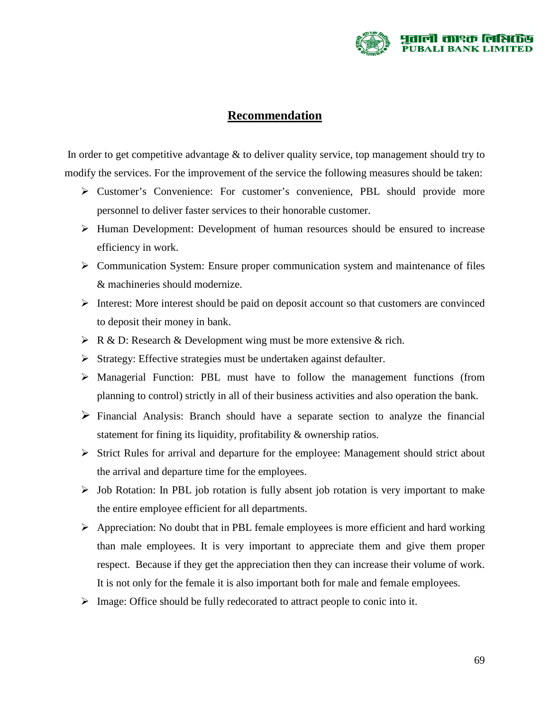

#### **Recommendation**

In order to get competitive advantage & to deliver quality service, top management should try to modify the services. For the improvement of the service the following measures should be taken:

- Customer's Convenience: For customer's convenience, PBL should provide more personnel to deliver faster services to their honorable customer.
- Human Development: Development of human resources should be ensured to increase efficiency in work.
- $\triangleright$  Communication System: Ensure proper communication system and maintenance of files & machineries should modernize.
- $\triangleright$  Interest: More interest should be paid on deposit account so that customers are convinced to deposit their money in bank.
- $\triangleright$  R & D: Research & Development wing must be more extensive & rich.
- $\triangleright$  Strategy: Effective strategies must be undertaken against defaulter.
- Managerial Function: PBL must have to follow the management functions (from planning to control) strictly in all of their business activities and also operation the bank.
- $\triangleright$  Financial Analysis: Branch should have a separate section to analyze the financial statement for fining its liquidity, profitability & ownership ratios.
- $\triangleright$  Strict Rules for arrival and departure for the employee: Management should strict about the arrival and departure time for the employees.
- $\triangleright$  Job Rotation: In PBL job rotation is fully absent job rotation is very important to make the entire employee efficient for all departments.
- $\triangleright$  Appreciation: No doubt that in PBL female employees is more efficient and hard working than male employees. It is very important to appreciate them and give them proper respect. Because if they get the appreciation then they can increase their volume of work. It is not only for the female it is also important both for male and female employees.
- $\triangleright$  Image: Office should be fully redecorated to attract people to conic into it.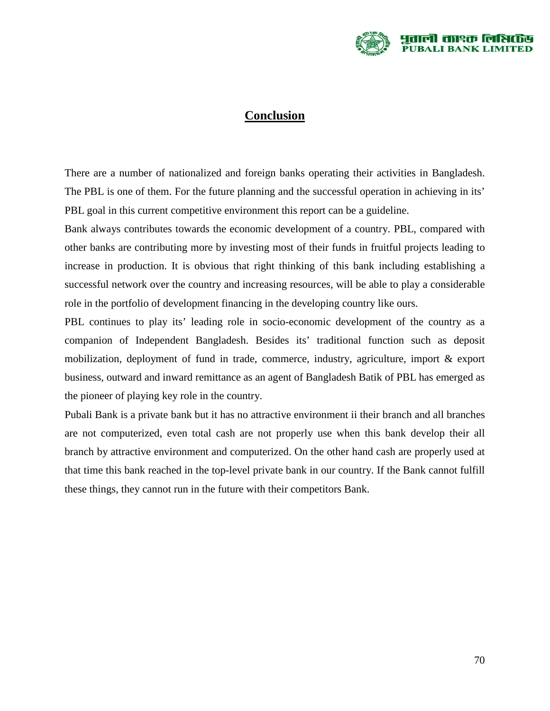

#### **Conclusion**

There are a number of nationalized and foreign banks operating their activities in Bangladesh. The PBL is one of them. For the future planning and the successful operation in achieving in its' PBL goal in this current competitive environment this report can be a guideline.

Bank always contributes towards the economic development of a country. PBL, compared with other banks are contributing more by investing most of their funds in fruitful projects leading to increase in production. It is obvious that right thinking of this bank including establishing a successful network over the country and increasing resources, will be able to play a considerable role in the portfolio of development financing in the developing country like ours.

PBL continues to play its' leading role in socio-economic development of the country as a companion of Independent Bangladesh. Besides its' traditional function such as deposit mobilization, deployment of fund in trade, commerce, industry, agriculture, import & export business, outward and inward remittance as an agent of Bangladesh Batik of PBL has emerged as the pioneer of playing key role in the country.

Pubali Bank is a private bank but it has no attractive environment ii their branch and all branches are not computerized, even total cash are not properly use when this bank develop their all branch by attractive environment and computerized. On the other hand cash are properly used at that time this bank reached in the top-level private bank in our country. If the Bank cannot fulfill these things, they cannot run in the future with their competitors Bank.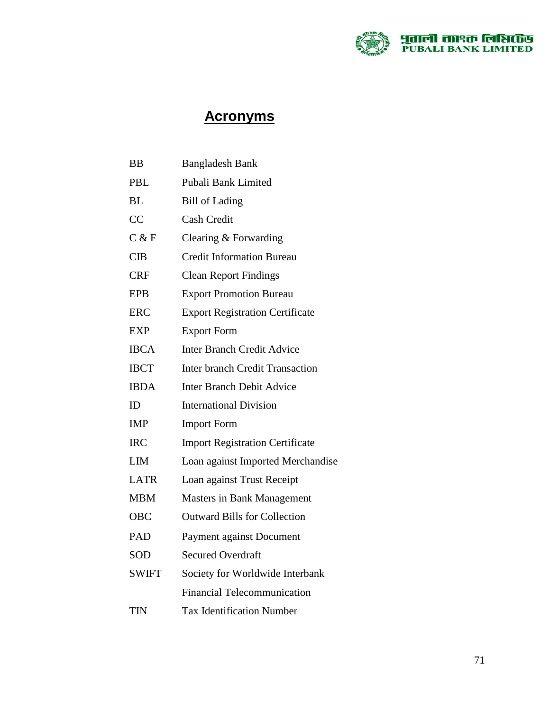

# **Acronyms**

| BB           | <b>Bangladesh Bank</b>                 |
|--------------|----------------------------------------|
| PBL          | Pubali Bank Limited                    |
| ВL           | <b>Bill of Lading</b>                  |
| CC           | <b>Cash Credit</b>                     |
| C & F        | Clearing & Forwarding                  |
| <b>CIB</b>   | <b>Credit Information Bureau</b>       |
| CRF          | <b>Clean Report Findings</b>           |
| <b>EPB</b>   | <b>Export Promotion Bureau</b>         |
| ERC          | <b>Export Registration Certificate</b> |
| <b>EXP</b>   | <b>Export Form</b>                     |
| <b>IBCA</b>  | <b>Inter Branch Credit Advice</b>      |
| <b>IBCT</b>  | <b>Inter branch Credit Transaction</b> |
| <b>IBDA</b>  | <b>Inter Branch Debit Advice</b>       |
| ID           | <b>International Division</b>          |
| <b>IMP</b>   | <b>Import Form</b>                     |
| <b>IRC</b>   | <b>Import Registration Certificate</b> |
| <b>LIM</b>   | Loan against Imported Merchandise      |
| <b>LATR</b>  | Loan against Trust Receipt             |
| <b>MBM</b>   | <b>Masters in Bank Management</b>      |
| <b>OBC</b>   | <b>Outward Bills for Collection</b>    |
| <b>PAD</b>   | Payment against Document               |
| SOD          | <b>Secured Overdraft</b>               |
| <b>SWIFT</b> | Society for Worldwide Interbank        |
|              | <b>Financial Telecommunication</b>     |
| TIN          | <b>Tax Identification Number</b>       |
|              |                                        |